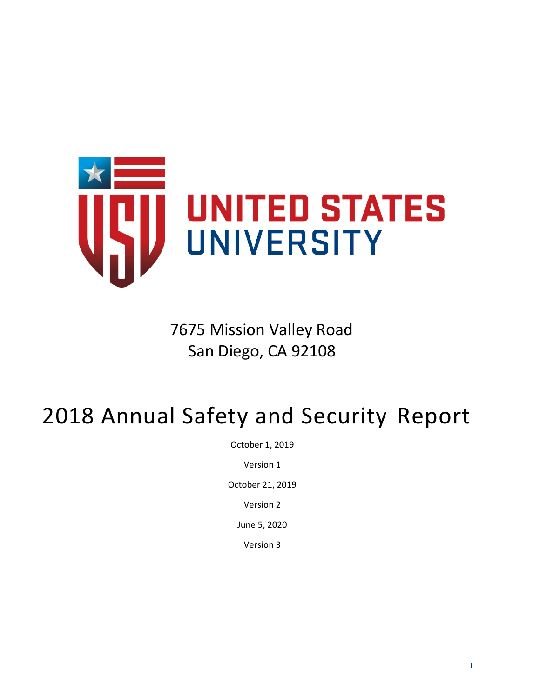

7675 Mission Valley Road San Diego, CA 92108

# 2018 Annual Safety and Security Report

October 1, 2019

Version 1

October 21, 2019

Version 2

June 5, 2020

Version 3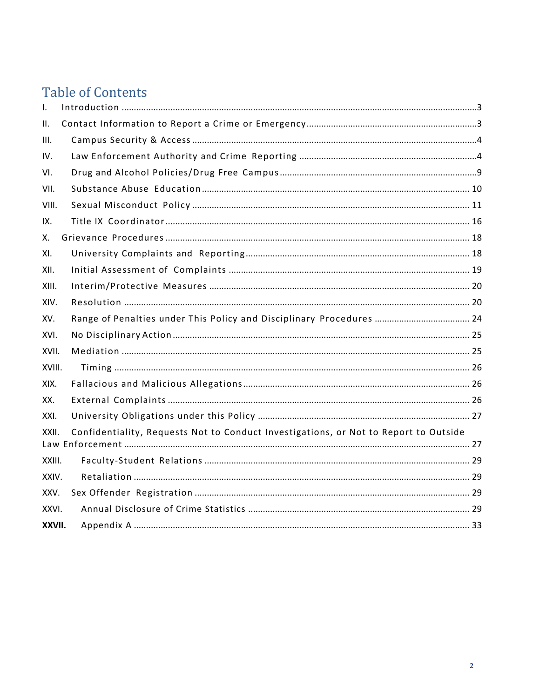### **Table of Contents**

| Ι.     |                                                                                      |  |
|--------|--------------------------------------------------------------------------------------|--|
| П.     |                                                                                      |  |
| III.   |                                                                                      |  |
| IV.    |                                                                                      |  |
| VI.    |                                                                                      |  |
| VII.   |                                                                                      |  |
| VIII.  |                                                                                      |  |
| IX.    |                                                                                      |  |
| Х.     |                                                                                      |  |
| XI.    |                                                                                      |  |
| XII.   |                                                                                      |  |
| XIII.  |                                                                                      |  |
| XIV.   |                                                                                      |  |
| XV.    | Range of Penalties under This Policy and Disciplinary Procedures  24                 |  |
| XVI.   |                                                                                      |  |
| XVII.  |                                                                                      |  |
| XVIII. |                                                                                      |  |
| XIX.   |                                                                                      |  |
| XX.    |                                                                                      |  |
| XXI.   |                                                                                      |  |
| XXII.  | Confidentiality, Requests Not to Conduct Investigations, or Not to Report to Outside |  |
| XXIII. |                                                                                      |  |
| XXIV.  |                                                                                      |  |
| XXV.   |                                                                                      |  |
| XXVI.  |                                                                                      |  |
| XXVII. |                                                                                      |  |
|        |                                                                                      |  |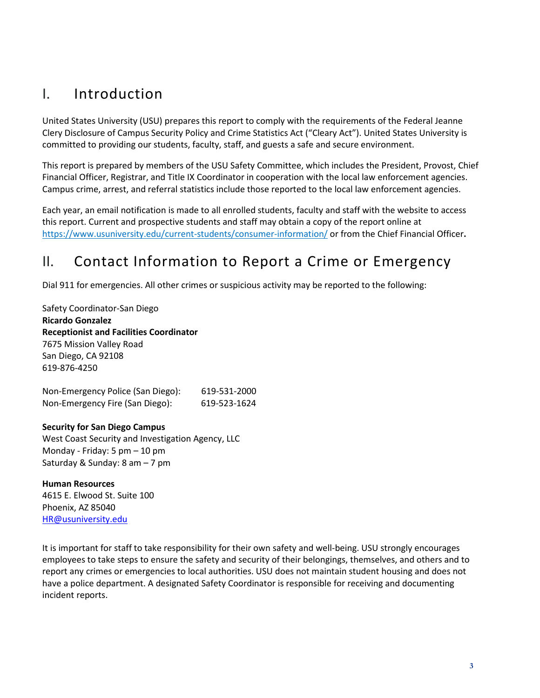### <span id="page-2-0"></span>I. Introduction

United States University (USU) prepares this report to comply with the requirements of the Federal Jeanne Clery Disclosure of Campus Security Policy and Crime Statistics Act ("Cleary Act"). United States University is committed to providing our students, faculty, staff, and guests a safe and secure environment.

This report is prepared by members of the USU Safety Committee, which includes the President, Provost, Chief Financial Officer, Registrar, and Title IX Coordinator in cooperation with the local law enforcement agencies. Campus crime, arrest, and referral statistics include those reported to the local law enforcement agencies.

Each year, an email notification is made to all enrolled students, faculty and staff with the website to access this report. Current and prospective students and staff may obtain a copy of the report online at <https://www.usuniversity.edu/current-students/consumer-information/> or from the Chief Financial Officer**.**

### <span id="page-2-1"></span>II. Contact Information to Report a Crime or Emergency

Dial 911 for emergencies. All other crimes or suspicious activity may be reported to the following:

Safety Coordinator-San Diego **Ricardo Gonzalez Receptionist and Facilities Coordinator** 7675 Mission Valley Road San Diego, CA 92108 619‐876‐4250

| Non-Emergency Police (San Diego): | 619-531-2000 |
|-----------------------------------|--------------|
| Non-Emergency Fire (San Diego):   | 619-523-1624 |

#### **Security for San Diego Campus**

West Coast Security and Investigation Agency, LLC Monday ‐ Friday: 5 pm – 10 pm Saturday & Sunday: 8 am – 7 pm

**Human Resources** 4615 E. Elwood St. Suite 100 Phoenix, AZ 85040 [HR@usuniversity.edu](mailto:HR@usuniversity.edu)

It is important for staff to take responsibility for their own safety and well-being. USU strongly encourages employees to take steps to ensure the safety and security of their belongings, themselves, and others and to report any crimes or emergencies to local authorities. USU does not maintain student housing and does not have a police department. A designated Safety Coordinator is responsible for receiving and documenting incident reports.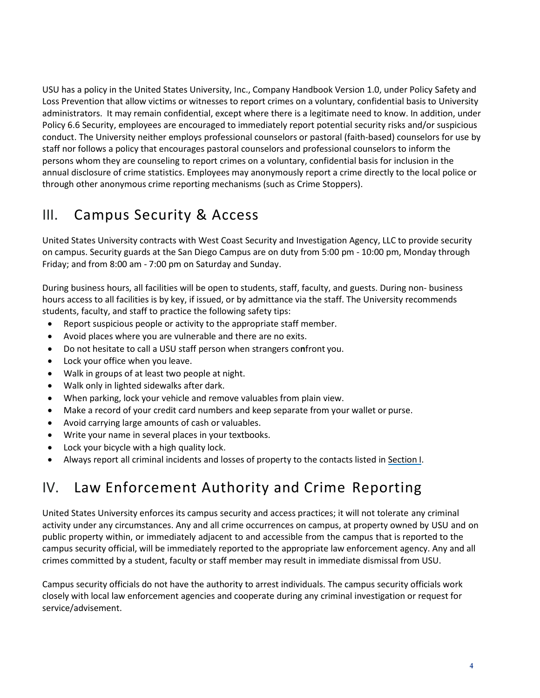USU has a policy in the United States University, Inc., Company Handbook Version 1.0, under Policy Safety and Loss Prevention that allow victims or witnesses to report crimes on a voluntary, confidential basis to University administrators. It may remain confidential, except where there is a legitimate need to know. In addition, under Policy 6.6 Security, employees are encouraged to immediately report potential security risks and/or suspicious conduct. The University neither employs professional counselors or pastoral (faith-based) counselors for use by staff nor follows a policy that encourages pastoral counselors and professional counselors to inform the persons whom they are counseling to report crimes on a voluntary, confidential basis for inclusion in the annual disclosure of crime statistics. Employees may anonymously report a crime directly to the local police or through other anonymous crime reporting mechanisms (such as Crime Stoppers).

### <span id="page-3-0"></span>III. Campus Security & Access

United States University contracts with West Coast Security and Investigation Agency, LLC to provide security on campus. Security guards at the San Diego Campus are on duty from 5:00 pm ‐ 10:00 pm, Monday through Friday; and from 8:00 am ‐ 7:00 pm on Saturday and Sunday.

During business hours, all facilities will be open to students, staff, faculty, and guests. During non‐ business hours access to all facilities is by key, if issued, or by admittance via the staff. The University recommends students, faculty, and staff to practice the following safety tips:

- Report suspicious people or activity to the appropriate staff member.
- Avoid places where you are vulnerable and there are no exits.
- Do not hesitate to call a USU staff person when strangers co**n**front you.
- Lock your office when you leave.
- Walk in groups of at least two people at night.
- Walk only in lighted sidewalks after dark.
- When parking, lock your vehicle and remove valuables from plain view.
- Make a record of your credit card numbers and keep separate from your wallet or purse.
- Avoid carrying large amounts of cash or valuables.
- Write your name in several places in your textbooks.
- Lock your bicycle with a high quality lock.
- Always report all criminal incidents and losses of property to the contacts listed in Section I.

### <span id="page-3-1"></span>IV. Law Enforcement Authority and Crime Reporting

United States University enforces its campus security and access practices; it will not tolerate any criminal activity under any circumstances. Any and all crime occurrences on campus, at property owned by USU and on public property within, or immediately adjacent to and accessible from the campus that is reported to the campus security official, will be immediately reported to the appropriate law enforcement agency. Any and all crimes committed by a student, faculty or staff member may result in immediate dismissal from USU.

Campus security officials do not have the authority to arrest individuals. The campus security officials work closely with local law enforcement agencies and cooperate during any criminal investigation or request for service/advisement.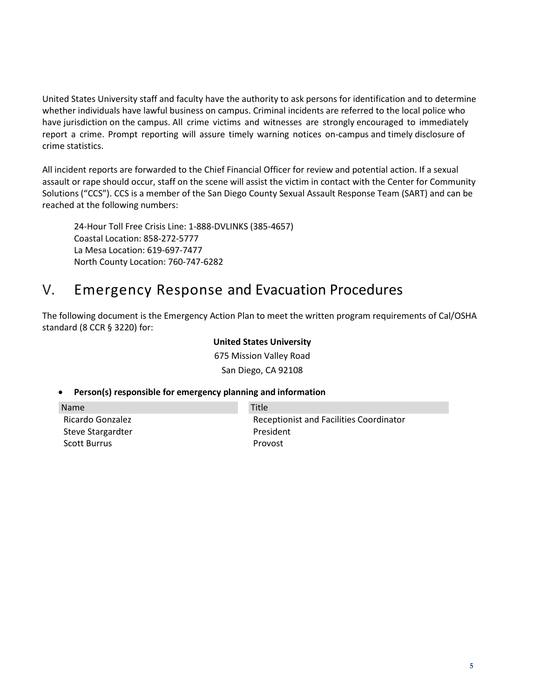United States University staff and faculty have the authority to ask persons for identification and to determine whether individuals have lawful business on campus. Criminal incidents are referred to the local police who have jurisdiction on the campus. All crime victims and witnesses are strongly encouraged to immediately report a crime. Prompt reporting will assure timely warning notices on‐campus and timely disclosure of crime statistics.

All incident reports are forwarded to the Chief Financial Officer for review and potential action. If a sexual assault or rape should occur, staff on the scene will assist the victim in contact with the Center for Community Solutions ("CCS"). CCS is a member of the San Diego County Sexual Assault Response Team (SART) and can be reached at the following numbers:

24‐Hour Toll Free Crisis Line: 1‐888‐DVLINKS (385‐4657) Coastal Location: 858‐272‐5777 La Mesa Location: 619‐697‐7477 North County Location: 760‐747‐6282

### V. Emergency Response and Evacuation Procedures

The following document is the Emergency Action Plan to meet the written program requirements of Cal/OSHA standard (8 CCR § 3220) for:

#### **United States University**

675 Mission Valley Road San Diego, CA 92108

#### • **Person(s) responsible for emergency planning and information**

Name Ricardo Gonzalez Steve Stargardter Scott Burrus Title Receptionist and Facilities Coordinator President Provost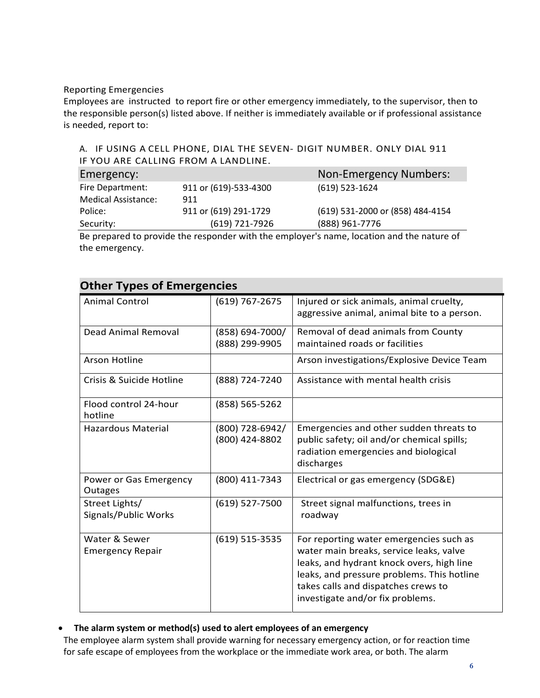#### Reporting Emergencies

Employees are instructed to report fire or other emergency immediately, to the supervisor, then to the responsible person(s) listed above. If neither is immediately available or if professional assistance is needed, report to:

#### A. IF USING A CELL PHONE, DIAL THE SEVEN‐ DIGIT NUMBER. ONLY DIAL 911 IF YOU ARE CALLING FROM A LANDLINE.

| Emergency:                 |                       | <b>Non-Emergency Numbers:</b>    |
|----------------------------|-----------------------|----------------------------------|
| Fire Department:           | 911 or (619)-533-4300 | $(619)$ 523-1624                 |
| <b>Medical Assistance:</b> | 911                   |                                  |
| Police:                    | 911 or (619) 291-1729 | (619) 531-2000 or (858) 484-4154 |
| Security:                  | (619) 721-7926        | (888) 961-7776                   |

Be prepared to provide the responder with the employer's name, location and the nature of the emergency.

| <b>Other Types of Emergencies</b>        |                                   |                                                                                                                                                                                                                                                          |  |  |  |
|------------------------------------------|-----------------------------------|----------------------------------------------------------------------------------------------------------------------------------------------------------------------------------------------------------------------------------------------------------|--|--|--|
| <b>Animal Control</b>                    | (619) 767-2675                    | Injured or sick animals, animal cruelty,<br>aggressive animal, animal bite to a person.                                                                                                                                                                  |  |  |  |
| <b>Dead Animal Removal</b>               | (858) 694-7000/<br>(888) 299-9905 | Removal of dead animals from County<br>maintained roads or facilities                                                                                                                                                                                    |  |  |  |
| <b>Arson Hotline</b>                     |                                   | Arson investigations/Explosive Device Team                                                                                                                                                                                                               |  |  |  |
| Crisis & Suicide Hotline                 | (888) 724-7240                    | Assistance with mental health crisis                                                                                                                                                                                                                     |  |  |  |
| Flood control 24-hour<br>hotline         | (858) 565-5262                    |                                                                                                                                                                                                                                                          |  |  |  |
| <b>Hazardous Material</b>                | (800) 728-6942/<br>(800) 424-8802 | Emergencies and other sudden threats to<br>public safety; oil and/or chemical spills;<br>radiation emergencies and biological<br>discharges                                                                                                              |  |  |  |
| Power or Gas Emergency<br>Outages        | (800) 411-7343                    | Electrical or gas emergency (SDG&E)                                                                                                                                                                                                                      |  |  |  |
| Street Lights/<br>Signals/Public Works   | $(619)$ 527-7500                  | Street signal malfunctions, trees in<br>roadway                                                                                                                                                                                                          |  |  |  |
| Water & Sewer<br><b>Emergency Repair</b> | $(619) 515 - 3535$                | For reporting water emergencies such as<br>water main breaks, service leaks, valve<br>leaks, and hydrant knock overs, high line<br>leaks, and pressure problems. This hotline<br>takes calls and dispatches crews to<br>investigate and/or fix problems. |  |  |  |

### **Other Types of Emergencies**

#### • **The alarm system or method(s) used to alert employees of an emergency**

The employee alarm system shall provide warning for necessary emergency action, or for reaction time for safe escape of employees from the workplace or the immediate work area, or both. The alarm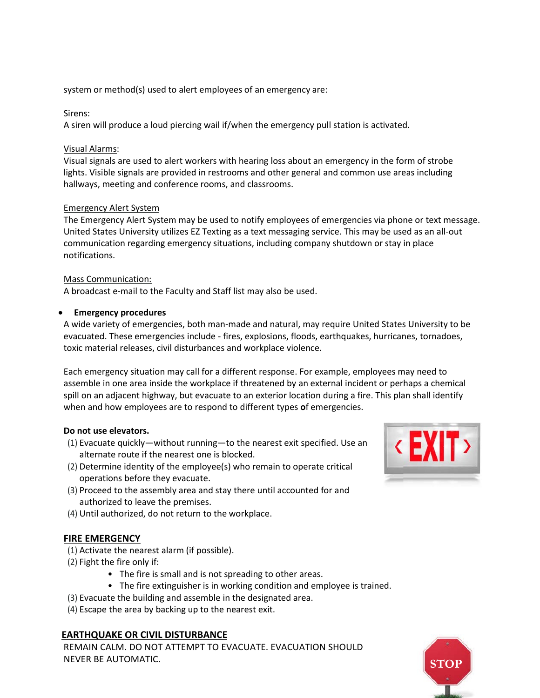system or method(s) used to alert employees of an emergency are:

#### Sirens:

A siren will produce a loud piercing wail if/when the emergency pull station is activated.

#### Visual Alarms:

Visual signals are used to alert workers with hearing loss about an emergency in the form of strobe lights. Visible signals are provided in restrooms and other general and common use areas including hallways, meeting and conference rooms, and classrooms.

#### Emergency Alert System

The Emergency Alert System may be used to notify employees of emergencies via phone or text message. United States University utilizes EZ Texting as a text messaging service. This may be used as an all‐out communication regarding emergency situations, including company shutdown or stay in place notifications.

#### Mass Communication:

A broadcast e‐mail to the Faculty and Staff list may also be used.

#### • **Emergency procedures**

A wide variety of emergencies, both man‐made and natural, may require United States University to be evacuated. These emergencies include ‐ fires, explosions, floods, earthquakes, hurricanes, tornadoes, toxic material releases, civil disturbances and workplace violence.

Each emergency situation may call for a different response. For example, employees may need to assemble in one area inside the workplace if threatened by an external incident or perhaps a chemical spill on an adjacent highway, but evacuate to an exterior location during a fire. This plan shall identify when and how employees are to respond to different types **o**f emergencies.

#### **Do not use elevators.**

- (1) Evacuate quickly—without running—to the nearest exit specified. Use an alternate route if the nearest one is blocked.
- (2) Determine identity of the employee(s) who remain to operate critical operations before they evacuate.
- (3) Proceed to the assembly area and stay there until accounted for and authorized to leave the premises.
- (4) Until authorized, do not return to the workplace.

#### **FIRE EMERGENCY**

- (1) Activate the nearest alarm (if possible).
- (2) Fight the fire only if:
	- The fire is small and is not spreading to other areas.
	- The fire extinguisher is in working condition and employee is trained.
- (3) Evacuate the building and assemble in the designated area.
- (4) Escape the area by backing up to the nearest exit.

#### **EARTHQUAKE OR CIVIL DISTURBANCE**

REMAIN CALM. DO NOT ATTEMPT TO EVACUATE. EVACUATION SHOULD **NEVER BE AUTOMATIC.** 



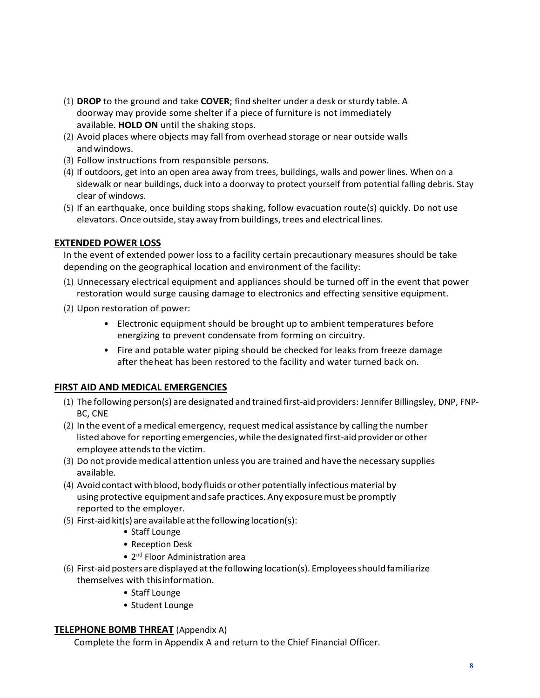- (1) **DROP** to the ground and take **COVER**; find shelter under a desk orsturdy table. A doorway may provide some shelter if a piece of furniture is not immediately available. **HOLD ON** until the shaking stops.
- (2) Avoid places where objects may fall from overhead storage or near outside walls and windows.
- (3) Follow instructions from responsible persons.
- (4) If outdoors, get into an open area away from trees, buildings, walls and power lines. When on a sidewalk or near buildings, duck into a doorway to protect yourself from potential falling debris. Stay clear of windows.
- (5) If an earthquake, once building stops shaking, follow evacuation route(s) quickly. Do not use elevators. Once outside, stay away from buildings, trees and electrical lines.

#### **EXTENDED POWER LOSS**

In the event of extended power loss to a facility certain precautionary measures should be take depending on the geographical location and environment of the facility:

- (1) Unnecessary electrical equipment and appliances should be turned off in the event that power restoration would surge causing damage to electronics and effecting sensitive equipment.
- (2) Upon restoration of power:
	- Electronic equipment should be brought up to ambient temperatures before energizing to prevent condensate from forming on circuitry.
	- Fire and potable water piping should be checked for leaks from freeze damage after theheat has been restored to the facility and water turned back on.

#### **FIRST AID AND MEDICAL EMERGENCIES**

- (1) The following person(s) are designated and trained first‐aid providers: Jennifer Billingsley, DNP, FNP-BC, CNE
- (2) In the event of a medical emergency, request medical assistance by calling the number listed above for reporting emergencies, while the designated first-aid provider or other employee attends to the victim.
- (3) Do not provide medical attention unless you are trained and have the necessary supplies available.
- (4) Avoid contact with blood, body fluids or other potentially infectious material by using protective equipment and safe practices. Any exposure must be promptly reported to the employer.
- $(5)$  First-aid kit(s) are available at the following location(s):
	- Staff Lounge
	- Reception Desk
	- 2<sup>nd</sup> Floor Administration area
- (6) First‐aid posters are displayed atthe following location(s). Employeesshould familiarize themselves with thisinformation.
	- Staff Lounge
	- Student Lounge

#### **TELEPHONE BOMB THREAT** (Appendix A)

Complete the form in Appendix A and return to the Chief Financial Officer.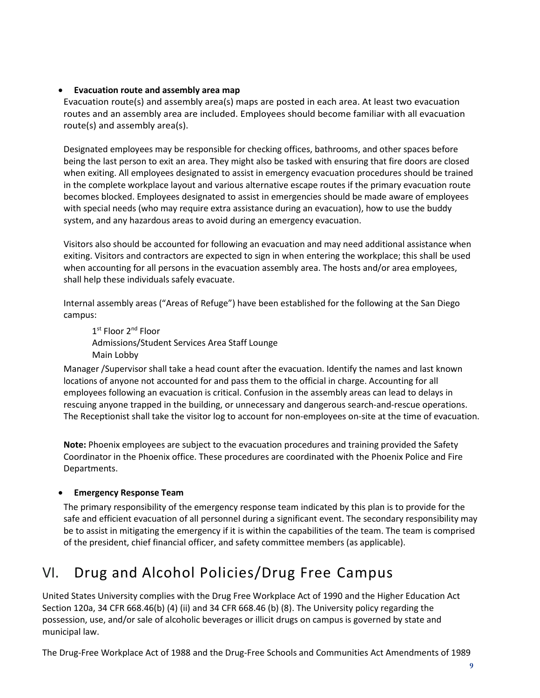#### • **Evacuation route and assembly area map**

Evacuation route(s) and assembly area(s) maps are posted in each area. At least two evacuation routes and an assembly area are included. Employees should become familiar with all evacuation route(s) and assembly area(s).

Designated employees may be responsible for checking offices, bathrooms, and other spaces before being the last person to exit an area. They might also be tasked with ensuring that fire doors are closed when exiting. All employees designated to assist in emergency evacuation procedures should be trained in the complete workplace layout and various alternative escape routes if the primary evacuation route becomes blocked. Employees designated to assist in emergencies should be made aware of employees with special needs (who may require extra assistance during an evacuation), how to use the buddy system, and any hazardous areas to avoid during an emergency evacuation.

Visitors also should be accounted for following an evacuation and may need additional assistance when exiting. Visitors and contractors are expected to sign in when entering the workplace; this shall be used when accounting for all persons in the evacuation assembly area. The hosts and/or area employees, shall help these individuals safely evacuate.

Internal assembly areas ("Areas of Refuge") have been established for the following at the San Diego campus:

1st Floor 2<sup>nd</sup> Floor Admissions/Student Services Area Staff Lounge Main Lobby

Manager /Supervisor shall take a head count after the evacuation. Identify the names and last known locations of anyone not accounted for and pass them to the official in charge. Accounting for all employees following an evacuation is critical. Confusion in the assembly areas can lead to delays in rescuing anyone trapped in the building, or unnecessary and dangerous search‐and‐rescue operations. The Receptionist shall take the visitor log to account for non-employees on-site at the time of evacuation.

**Note:** Phoenix employees are subject to the evacuation procedures and training provided the Safety Coordinator in the Phoenix office. These procedures are coordinated with the Phoenix Police and Fire Departments.

#### • **Emergency Response Team**

The primary responsibility of the emergency response team indicated by this plan is to provide for the safe and efficient evacuation of all personnel during a significant event. The secondary responsibility may be to assist in mitigating the emergency if it is within the capabilities of the team. The team is comprised of the president, chief financial officer, and safety committee members (as applicable).

### <span id="page-8-0"></span>VI. Drug and Alcohol Policies/Drug Free Campus

United States University complies with the Drug Free Workplace Act of 1990 and the Higher Education Act Section 120a, 34 CFR 668.46(b) (4) (ii) and 34 CFR 668.46 (b) (8). The University policy regarding the possession, use, and/or sale of alcoholic beverages or illicit drugs on campus is governed by state and municipal law.

The Drug‐Free Workplace Act of 1988 and the Drug‐Free Schools and Communities Act Amendments of 1989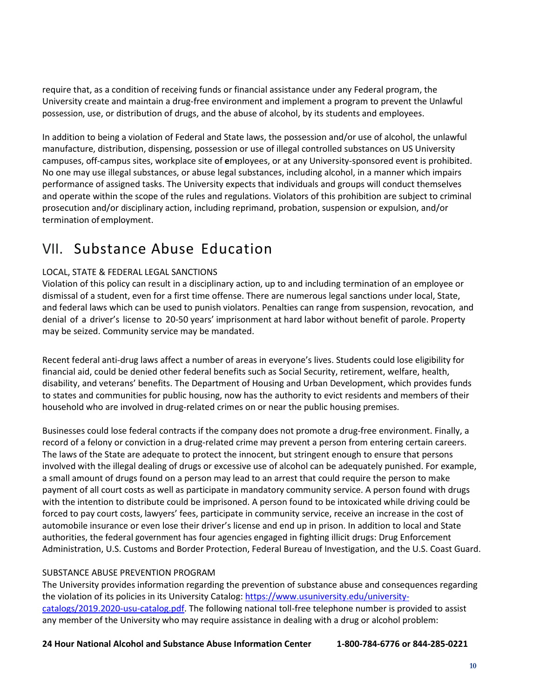require that, as a condition of receiving funds or financial assistance under any Federal program, the University create and maintain a drug‐free environment and implement a program to prevent the Unlawful possession, use, or distribution of drugs, and the abuse of alcohol, by its students and employees.

In addition to being a violation of Federal and State laws, the possession and/or use of alcohol, the unlawful manufacture, distribution, dispensing, possession or use of illegal controlled substances on US University campuses, off‐campus sites, workplace site of **e**mployees, or at any University‐sponsored event is prohibited. No one may use illegal substances, or abuse legal substances, including alcohol, in a manner which impairs performance of assigned tasks. The University expects that individuals and groups will conduct themselves and operate within the scope of the rules and regulations. Violators of this prohibition are subject to criminal prosecution and/or disciplinary action, including reprimand, probation, suspension or expulsion, and/or termination of employment.

### <span id="page-9-0"></span>VII. Substance Abuse Education

#### LOCAL, STATE & FEDERAL LEGAL SANCTIONS

Violation of this policy can result in a disciplinary action, up to and including termination of an employee or dismissal of a student, even for a first time offense. There are numerous legal sanctions under local, State, and federal laws which can be used to punish violators. Penalties can range from suspension, revocation, and denial of a driver's license to 20‐50 years' imprisonment at hard labor without benefit of parole. Property may be seized. Community service may be mandated.

Recent federal anti‐drug laws affect a number of areas in everyone's lives. Students could lose eligibility for financial aid, could be denied other federal benefits such as Social Security, retirement, welfare, health, disability, and veterans' benefits. The Department of Housing and Urban Development, which provides funds to states and communities for public housing, now has the authority to evict residents and members of their household who are involved in drug-related crimes on or near the public housing premises.

Businesses could lose federal contracts if the company does not promote a drug‐free environment. Finally, a record of a felony or conviction in a drug‐related crime may prevent a person from entering certain careers. The laws of the State are adequate to protect the innocent, but stringent enough to ensure that persons involved with the illegal dealing of drugs or excessive use of alcohol can be adequately punished. For example, a small amount of drugs found on a person may lead to an arrest that could require the person to make payment of all court costs as well as participate in mandatory community service. A person found with drugs with the intention to distribute could be imprisoned. A person found to be intoxicated while driving could be forced to pay court costs, lawyers' fees, participate in community service, receive an increase in the cost of automobile insurance or even lose their driver's license and end up in prison. In addition to local and State authorities, the federal government has four agencies engaged in fighting illicit drugs: Drug Enforcement Administration, U.S. Customs and Border Protection, Federal Bureau of Investigation, and the U.S. Coast Guard.

#### SUBSTANCE ABUSE PREVENTION PROGRAM

The University provides information regarding the prevention of substance abuse and consequences regarding the violation of its policies in its University Catalog: [https://www.usuniversity.edu/university](https://www.usuniversity.edu/university-catalogs/2019.2020-usu-catalog.pdf)[catalogs/2019.2020-usu-catalog.pdf.](https://www.usuniversity.edu/university-catalogs/2019.2020-usu-catalog.pdf) The following national toll-free telephone number is provided to assist any member of the University who may require assistance in dealing with a drug or alcohol problem:

**24 Hour National Alcohol and Substance Abuse Information Center 1-800-784-6776 or 844-285-0221**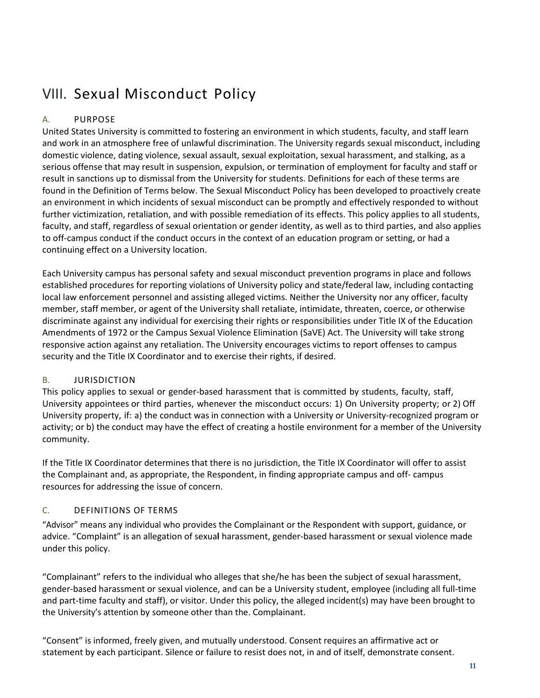### <span id="page-10-0"></span>VIII. Sexual Misconduct Policy

#### A. PURPOSE

United States University is committed to fostering an environment in which students, faculty, and staff learn and work in an atmosphere free of unlawful discrimination. The University regards sexual misconduct, including domestic violence, dating violence, sexual assault, sexual exploitation, sexual harassment, and stalking, as a serious offense that may result in suspension, expulsion, or termination of employment for faculty and staff or result in sanctions up to dismissal from the University for students. Definitions for each of these terms are found in the Definition of Terms below. The Sexual Misconduct Policy has been developed to proactively create an environment in which incidents of sexual misconduct can be promptly and effectively responded to without further victimization, retaliation, and with possible remediation of its effects. This policy applies to all students, faculty, and staff, regardless of sexual orientation or gender identity, as well as to third parties, and also applies to off‐campus conduct if the conduct occurs in the context of an education program or setting, or had a continuing effect on a University location.

Each University campus has personal safety and sexual misconduct prevention programs in place and follows established procedures for reporting violations of University policy and state/federal law, including contacting local law enforcement personnel and assisting alleged victims. Neither the University nor any officer, faculty member, staff member, or agent of the University shall retaliate, intimidate, threaten, coerce, or otherwise discriminate against any individual for exercising their rights or responsibilities under Title IX of the Education Amendments of 1972 or the Campus Sexual Violence Elimination (SaVE) Act. The University will take strong responsive action against any retaliation. The University encourages victims to report offenses to campus security and the Title IX Coordinator and to exercise their rights, if desired.

#### B. JURISDICTION

This policy applies to sexual or gender-based harassment that is committed by students, faculty, staff, University appointees or third parties, whenever the misconduct occurs: 1) On University property; or 2) Off University property, if: a) the conduct was in connection with a University or University‐recognized program or activity; or b) the conduct may have the effect of creating a hostile environment for a member of the University community.

If the Title IX Coordinator determines that there is no jurisdiction, the Title IX Coordinator will offer to assist the Complainant and, as appropriate, the Respondent, in finding appropriate campus and off- campus resources for addressing the issue of concern.

#### C. DEFINITIONS OF TERMS

"Advisor" means any individual who provides the Complainant or the Respondent with support, guidance, or advice. "Complaint" is an allegation of sexua**l** harassment, gender‐based harassment or sexual violence made under this policy.

"Complainant" refers to the individual who alleges that she/he has been the subject of sexual harassment, gender‐based harassment or sexual violence, and can be a University student, employee (including all full‐time and part-time faculty and staff), or visitor. Under this policy, the alleged incident(s) may have been brought to the University's attention by someone other than the. Complainant.

"Consent" is informed, freely given, and mutually understood. Consent requires an affirmative act or statement by each participant. Silence or failure to resist does not, in and of itself, demonstrate consent.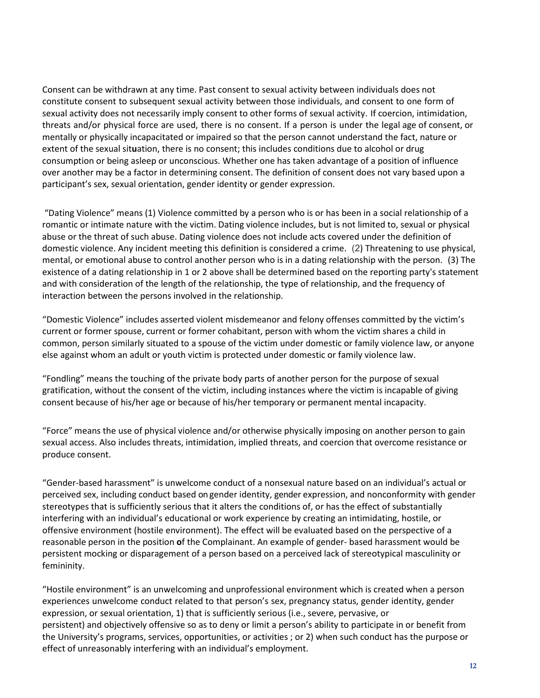Consent can be withdrawn at any time. Past consent to sexual activity between individuals does not constitute consent to subsequent sexual activity between those individuals, and consent to one form of sexual activity does not necessarily imply consent to other forms of sexual activity. If coercion, intimidation, threats and/or physical force are used, there is no consent. If a person is under the legal age of consent, or mentally or physically incapacitated or impaired so that the person cannot understand the fact, nature or extent of the sexual sit**u**ation, there is no consent; this includes conditions due to alcohol or drug consumption or being asleep or unconscious. Whether one has taken advantage of a position of influence over another may be a factor in determining consent. The definition of consent does not vary based upon a participant's sex, sexual orientation, gender identity or gender expression.

"Dating Violence" means (1) Violence committed by a person who is or has been in a social relationship of a romantic or intimate nature with the victim. Dating violence includes, but is not limited to, sexual or physical abuse or the threat of such abuse. Dating violence does not include acts covered under the definition of domestic violence. Any incident meeting this definition is considered a crime. (2) Threatening to use physical, mental, or emotional abuse to control another person who is in a dating relationship with the person. (3) The existence of a dating relationship in 1 or 2 above shall be determined based on the reporting party's statement and with consideration of the length of the relationship, the type of relationship, and the frequency of interaction between the persons involved in the relationship.

"Domestic Violence" includes asserted violent misdemeanor and felony offenses committed by the victim's current or former spouse, current or former cohabitant, person with whom the victim shares a child in common, person similarly situated to a spouse of the victim under domestic or family violence law, or anyone else against whom an adult or youth victim is protected under domestic or family violence law.

"Fondling" means the touching of the private body parts of another person for the purpose of sexual gratification, without the consent of the victim, including instances where the victim is incapable of giving consent because of his/her age or because of his/her temporary or permanent mental incapacity.

"Force" means the use of physical violence and/or otherwise physically imposing on another person to gain sexual access. Also includes threats, intimidation, implied threats, and coercion that overcome resistance or produce consent.

"Gender‐based harassment" is unwelcome conduct of a nonsexual nature based on an individual's actual or perceived sex, including conduct based on gender identity, gender expression, and nonconformity with gender stereotypes that is sufficiently serious that it alters the conditions of, or has the effect of substantially interfering with an individual's educational or work experience by creating an intimidating, hostile, or offensive environment (hostile environment). The effect will be evaluated based on the perspective of a reasonable person in the position **o**f the Complainant. An example of gender‐ based harassment would be persistent mocking or disparagement of a person based on a perceived lack of stereotypical masculinity or femininity.

"Hostile environment" is an unwelcoming and unprofessional environment which is created when a person experiences unwelcome conduct related to that person's sex, pregnancy status, gender identity, gender expression, or sexual orientation, 1) that is sufficiently serious (i.e., severe, pervasive, or persistent) and objectively offensive so as to deny or limit a person's ability to participate in or benefit from the University's programs, services, opportunities, or activities ; or 2) when such conduct has the purpose or effect of unreasonably interfering with an individual's employment.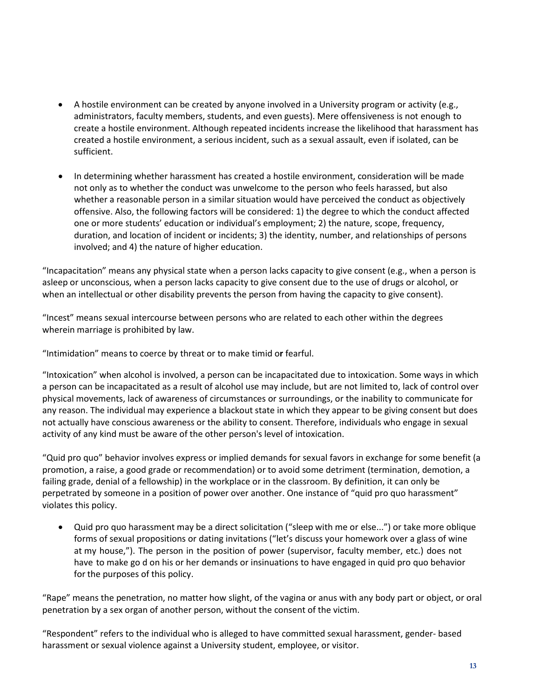- A hostile environment can be created by anyone involved in a University program or activity (e.g., administrators, faculty members, students, and even guests). Mere offensiveness is not enough to create a hostile environment. Although repeated incidents increase the likelihood that harassment has created a hostile environment, a serious incident, such as a sexual assault, even if isolated, can be sufficient.
- In determining whether harassment has created a hostile environment, consideration will be made not only as to whether the conduct was unwelcome to the person who feels harassed, but also whether a reasonable person in a similar situation would have perceived the conduct as objectively offensive. Also, the following factors will be considered: 1) the degree to which the conduct affected one or more students' education or individual's employment; 2) the nature, scope, frequency, duration, and location of incident or incidents; 3) the identity, number, and relationships of persons involved; and 4) the nature of higher education.

"Incapacitation" means any physical state when a person lacks capacity to give consent (e.g., when a person is asleep or unconscious, when a person lacks capacity to give consent due to the use of drugs or alcohol, or when an intellectual or other disability prevents the person from having the capacity to give consent).

"Incest" means sexual intercourse between persons who are related to each other within the degrees wherein marriage is prohibited by law.

"Intimidation" means to coerce by threat or to make timid o**r** fearful.

"Intoxication" when alcohol is involved, a person can be incapacitated due to intoxication. Some ways in which a person can be incapacitated as a result of alcohol use may include, but are not limited to, lack of control over physical movements, lack of awareness of circumstances or surroundings, or the inability to communicate for any reason. The individual may experience a blackout state in which they appear to be giving consent but does not actually have conscious awareness or the ability to consent. Therefore, individuals who engage in sexual activity of any kind must be aware of the other person's level of intoxication.

"Quid pro quo" behavior involves express or implied demands for sexual favors in exchange for some benefit (a promotion, a raise, a good grade or recommendation) or to avoid some detriment (termination, demotion, a failing grade, denial of a fellowship) in the workplace or in the classroom. By definition, it can only be perpetrated by someone in a position of power over another. One instance of "quid pro quo harassment" violates this policy.

• Quid pro quo harassment may be a direct solicitation ("sleep with me or else...") or take more oblique forms of sexual propositions or dating invitations ("let's discuss your homework over a glass of wine at my house,"). The person in the position of power (supervisor, faculty member, etc.) does not have to make go d on his or her demands or insinuations to have engaged in quid pro quo behavior for the purposes of this policy.

"Rape" means the penetration, no matter how slight, of the vagina or anus with any body part or object, or oral penetration by a sex organ of another person, without the consent of the victim.

"Respondent" refers to the individual who is alleged to have committed sexual harassment, gender‐ based harassment or sexual violence against a University student, employee, or visitor.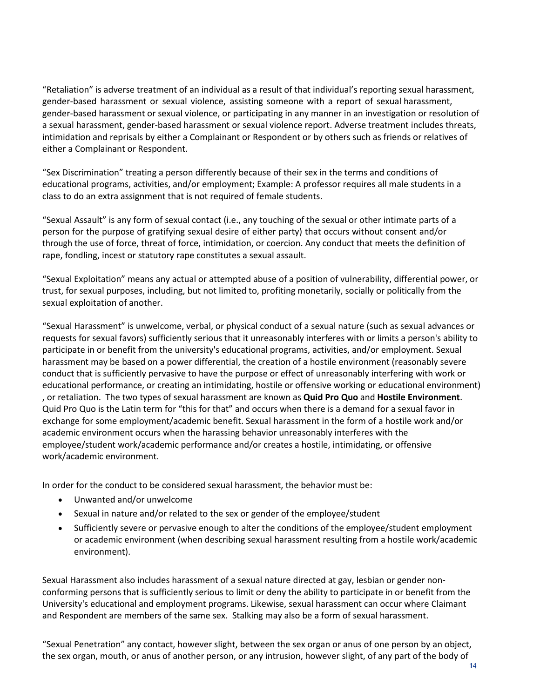"Retaliation" is adverse treatment of an individual as a result of that individual's reporting sexual harassment, gender‐based harassment or sexual violence, assisting someone with a report of sexual harassment, gender‐based harassment or sexual violence, or partic**i**pating in any manner in an investigation or resolution of a sexual harassment, gender‐based harassment or sexual violence report. Adverse treatment includes threats, intimidation and reprisals by either a Complainant or Respondent or by others such as friends or relatives of either a Complainant or Respondent.

"Sex Discrimination" treating a person differently because of their sex in the terms and conditions of educational programs, activities, and/or employment; Example: A professor requires all male students in a class to do an extra assignment that is not required of female students.

"Sexual Assault" is any form of sexual contact (i.e., any touching of the sexual or other intimate parts of a person for the purpose of gratifying sexual desire of either party) that occurs without consent and/or through the use of force, threat of force, intimidation, or coercion. Any conduct that meets the definition of rape, fondling, incest or statutory rape constitutes a sexual assault.

"Sexual Exploitation" means any actual or attempted abuse of a position of vulnerability, differential power, or trust, for sexual purposes, including, but not limited to, profiting monetarily, socially or politically from the sexual exploitation of another.

"Sexual Harassment" is unwelcome, verbal, or physical conduct of a sexual nature (such as sexual advances or requests for sexual favors) sufficiently serious that it unreasonably interferes with or limits a person's ability to participate in or benefit from the university's educational programs, activities, and/or employment. Sexual harassment may be based on a power differential, the creation of a hostile environment (reasonably severe conduct that is sufficiently pervasive to have the purpose or effect of unreasonably interfering with work or educational performance, or creating an intimidating, hostile or offensive working or educational environment) , or retaliation. The two types of sexual harassment are known as **Quid Pro Quo** and **Hostile Environment**. Quid Pro Quo is the Latin term for "this for that" and occurs when there is a demand for a sexual favor in exchange for some employment/academic benefit. Sexual harassment in the form of a hostile work and/or academic environment occurs when the harassing behavior unreasonably interferes with the employee/student work/academic performance and/or creates a hostile, intimidating, or offensive work/academic environment.

In order for the conduct to be considered sexual harassment, the behavior must be:

- Unwanted and/or unwelcome
- Sexual in nature and/or related to the sex or gender of the employee/student
- Sufficiently severe or pervasive enough to alter the conditions of the employee/student employment or academic environment (when describing sexual harassment resulting from a hostile work/academic environment).

Sexual Harassment also includes harassment of a sexual nature directed at gay, lesbian or gender nonconforming persons that is sufficiently serious to limit or deny the ability to participate in or benefit from the University's educational and employment programs. Likewise, sexual harassment can occur where Claimant and Respondent are members of the same sex. Stalking may also be a form of sexual harassment.

"Sexual Penetration" any contact, however slight, between the sex organ or anus of one person by an object, the sex organ, mouth, or anus of another person, or any intrusion, however slight, of any part of the body of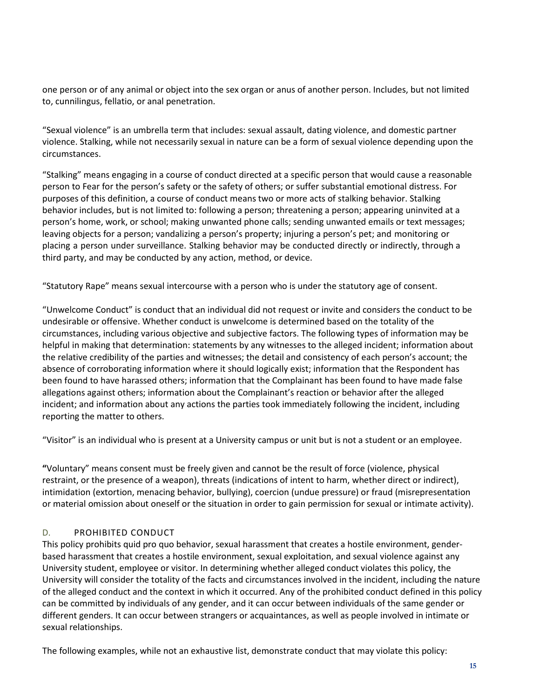one person or of any animal or object into the sex organ or anus of another person. Includes, but not limited to, cunnilingus, fellatio, or anal penetration.

"Sexual violence" is an umbrella term that includes: sexual assault, dating violence, and domestic partner violence. Stalking, while not necessarily sexual in nature can be a form of sexual violence depending upon the circumstances.

"Stalking" means engaging in a course of conduct directed at a specific person that would cause a reasonable person to Fear for the person's safety or the safety of others; or suffer substantial emotional distress. For purposes of this definition, a course of conduct means two or more acts of stalking behavior. Stalking behavior includes, but is not limited to: following a person; threatening a person; appearing uninvited at a person's home, work, or school; making unwanted phone calls; sending unwanted emails or text messages; leaving objects for a person; vandalizing a person's property; injuring a person's pet; and monitoring or placing a person under surveillance. Stalking behavior may be conducted directly or indirectly, through a third party, and may be conducted by any action, method, or device.

"Statutory Rape" means sexual intercourse with a person who is under the statutory age of consent.

"Unwelcome Conduct" is conduct that an individual did not request or invite and considers the conduct to be undesirable or offensive. Whether conduct is unwelcome is determined based on the totality of the circumstances, including various objective and subjective factors. The following types of information may be helpful in making that determination: statements by any witnesses to the alleged incident; information about the relative credibility of the parties and witnesses; the detail and consistency of each person's account; the absence of corroborating information where it should logically exist; information that the Respondent has been found to have harassed others; information that the Complainant has been found to have made false allegations against others; information about the Complainant's reaction or behavior after the alleged incident; and information about any actions the parties took immediately following the incident, including reporting the matter to others.

"Visitor" is an individual who is present at a University campus or unit but is not a student or an employee.

**"**Voluntary" means consent must be freely given and cannot be the result of force (violence, physical restraint, or the presence of a weapon), threats (indications of intent to harm, whether direct or indirect), intimidation (extortion, menacing behavior, bullying), coercion (undue pressure) or fraud (misrepresentation or material omission about oneself or the situation in order to gain permission for sexual or intimate activity).

#### D. PROHIBITED CONDUCT

This policy prohibits quid pro quo behavior, sexual harassment that creates a hostile environment, gender‐ based harassment that creates a hostile environment, sexual exploitation, and sexual violence against any University student, employee or visitor. In determining whether alleged conduct violates this policy, the University will consider the totality of the facts and circumstances involved in the incident, including the nature of the alleged conduct and the context in which it occurred. Any of the prohibited conduct defined in this policy can be committed by individuals of any gender, and it can occur between individuals of the same gender or different genders. It can occur between strangers or acquaintances, as well as people involved in intimate or sexual relationships.

The following examples, while not an exhaustive list, demonstrate conduct that may violate this policy: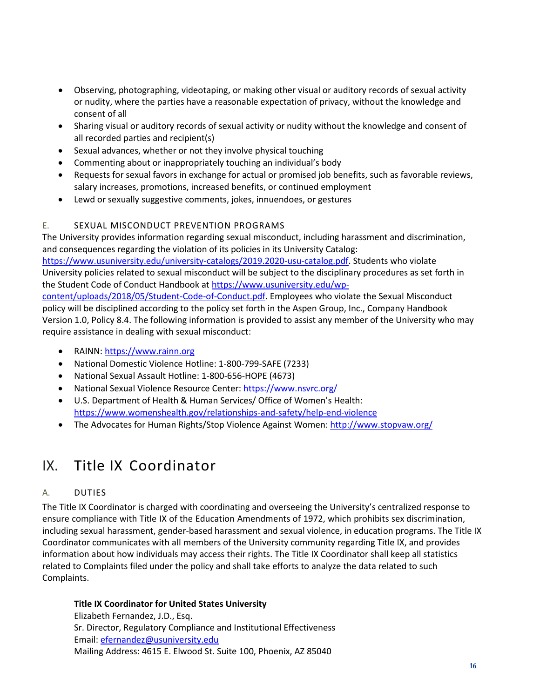- Observing, photographing, videotaping, or making other visual or auditory records of sexual activity or nudity, where the parties have a reasonable expectation of privacy, without the knowledge and consent of all
- Sharing visual or auditory records of sexual activity or nudity without the knowledge and consent of all recorded parties and recipient(s)
- Sexual advances, whether or not they involve physical touching
- Commenting about or inappropriately touching an individual's body
- Requests for sexual favors in exchange for actual or promised job benefits, such as favorable reviews, salary increases, promotions, increased benefits, or continued employment
- Lewd or sexually suggestive comments, jokes, innuendoes, or gestures

#### E. SEXUAL MISCONDUCT PREVENTION PROGRAMS

The University provides information regarding sexual misconduct, including harassment and discrimination, and consequences regarding the violation of its policies in its University Catalog: [https://www.usuniversity.edu/university-catalogs/2019.2020-usu-catalog.pdf.](https://www.usuniversity.edu/university-catalogs/2019.2020-usu-catalog.pdf) Students who violate University policies related to sexual misconduct will be subject to the disciplinary procedures as set forth in the Student Code of Conduct Handbook at [https://www.usuniversity.edu/wp](https://www.usuniversity.edu/wp-content/uploads/2018/05/Student-Code-of-Conduct.pdf)[content/uploads/2018/05/Student-Code-of-Conduct.pdf.](https://www.usuniversity.edu/wp-content/uploads/2018/05/Student-Code-of-Conduct.pdf) Employees who violate the Sexual Misconduct policy will be disciplined according to the policy set forth in the Aspen Group, Inc., Company Handbook Version 1.0, Policy 8.4. The following information is provided to assist any member of the University who may require assistance in dealing with sexual misconduct:

- RAINN[: https://www.rainn.org](https://www.rainn.org/)
- National Domestic Violence Hotline: 1-800-799-SAFE (7233)
- National Sexual Assault Hotline: 1-800-656-HOPE (4673)
- National Sexual Violence Resource Center:<https://www.nsvrc.org/>
- U.S. Department of Health & Human Services/ Office of Women's Health: <https://www.womenshealth.gov/relationships-and-safety/help-end-violence>
- The Advocates for Human Rights/Stop Violence Against Women[: http://www.stopvaw.org/](http://www.stopvaw.org/)

### <span id="page-15-0"></span>IX. Title IX Coordinator

#### A. DUTIES

The Title IX Coordinator is charged with coordinating and overseeing the University's centralized response to ensure compliance with Title IX of the Education Amendments of 1972, which prohibits sex discrimination, including sexual harassment, gender‐based harassment and sexual violence, in education programs. The Title IX Coordinator communicates with all members of the University community regarding Title IX, and provides information about how individuals may access their rights. The Title IX Coordinator shall keep all statistics related to Complaints filed under the policy and shall take efforts to analyze the data related to such Complaints.

#### **Title IX Coordinator for United States University**

Elizabeth Fernandez, J.D., Esq. Sr. Director, Regulatory Compliance and Institutional Effectiveness Email: efernandez@usuniversity.edu Mailing Address: 4615 E. Elwood St. Suite 100, Phoenix, AZ 85040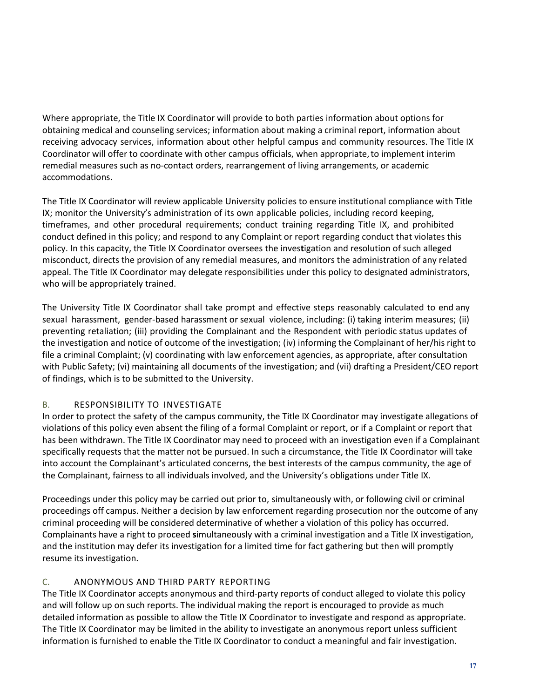Where appropriate, the Title IX Coordinator will provide to both parties information about options for obtaining medical and counseling services; information about making a criminal report, information about receiving advocacy services, information about other helpful campus and community resources. The Title IX Coordinator will offer to coordinate with other campus officials, when appropriate, to implement interim remedial measures such as no‐contact orders, rearrangement of living arrangements, or academic accommodations.

The Title IX Coordinator will review applicable University policies to ensure institutional compliance with Title IX; monitor the University's administration of its own applicable policies, including record keeping, timeframes, and other procedural requirements; conduct training regarding Title IX, and prohibited conduct defined in this policy; and respond to any Complaint or report regarding conduct that violates this policy. In this capacity, the Title IX Coordinator oversees the inves**t**igation and resolution of such alleged misconduct, directs the provision of any remedial measures, and monitors the administration of any related appeal. The Title IX Coordinator may delegate responsibilities under this policy to designated administrators, who will be appropriately trained.

The University Title IX Coordinator shall take prompt and effective steps reasonably calculated to end any sexual harassment, gender‐based harassment or sexual violence, including: (i) taking interim measures; (ii) preventing retaliation; (iii) providing the Complainant and the Respondent with periodic status updates of the investigation and notice of outcome of the investigation; (iv) informing the Complainant of her/his right to file a criminal Complaint; (v) coordinating with law enforcement agencies, as appropriate, after consultation with Public Safety; (vi) maintaining all documents of the investigation; and (vii) drafting a President/CEO report of findings, which is to be submitted to the University.

#### B. RESPONSIBILITY TO INVESTIGATE

In order to protect the safety of the campus community, the Title IX Coordinator may investigate allegations of violations of this policy even absent the filing of a formal Complaint or report, or if a Complaint or report that has been withdrawn. The Title IX Coordinator may need to proceed with an investigation even if a Complainant specifically requests that the matter not be pursued. In such a circumstance, the Title IX Coordinator will take into account the Complainant's articulated concerns, the best interests of the campus community, the age of the Complainant, fairness to all individuals involved, and the University's obligations under Title IX.

Proceedings under this policy may be carried out prior to, simultaneously with, or following civil or criminal proceedings off campus. Neither a decision by law enforcement regarding prosecution nor the outcome of any criminal proceeding will be considered determinative of whether a violation of this policy has occurred. Complainants have a right to proceed **s**imultaneously with a criminal investigation and a Title IX investigation, and the institution may defer its investigation for a limited time for fact gathering but then will promptly resume its investigation.

#### C. ANONYMOUS AND THIRD PARTY REPORTING

The Title IX Coordinator accepts anonymous and third‐party reports of conduct alleged to violate this policy and will follow up on such reports. The individual making the report is encouraged to provide as much detailed information as possible to allow the Title IX Coordinator to investigate and respond as appropriate. The Title IX Coordinator may be limited in the ability to investigate an anonymous report unless sufficient information is furnished to enable the Title IX Coordinator to conduct a meaningful and fair investigation.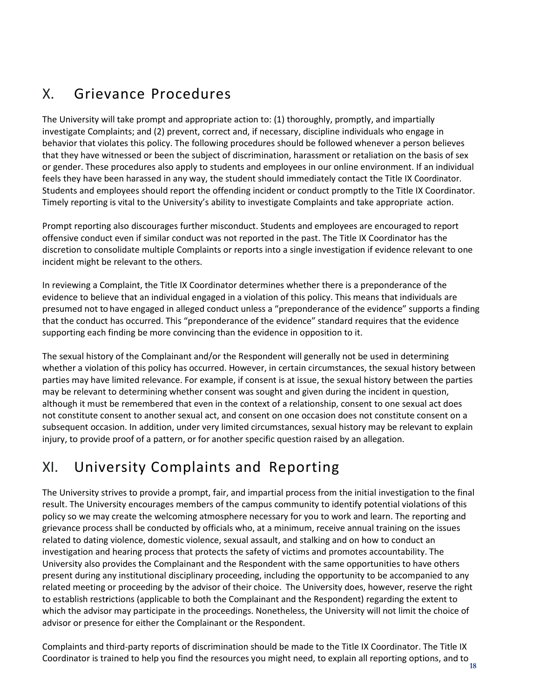### <span id="page-17-0"></span>X. Grievance Procedures

The University will take prompt and appropriate action to: (1) thoroughly, promptly, and impartially investigate Complaints; and (2) prevent, correct and, if necessary, discipline individuals who engage in behavior that violates this policy. The following procedures should be followed whenever a person believes that they have witnessed or been the subject of discrimination, harassment or retaliation on the basis of sex or gender. These procedures also apply to students and employees in our online environment. If an individual feels they have been harassed in any way, the student should immediately contact the Title IX Coordinator. Students and employees should report the offending incident or conduct promptly to the Title IX Coordinator. Timely reporting is vital to the University's ability to investigate Complaints and take appropriate action.

Prompt reporting also discourages further misconduct. Students and employees are encouraged to report offensive conduct even if similar conduct was not reported in the past. The Title IX Coordinator has the discretion to consolidate multiple Complaints or reports into a single investigation if evidence relevant to one incident might be relevant to the others.

In reviewing a Complaint, the Title IX Coordinator determines whether there is a preponderance of the evidence to believe that an individual engaged in a violation of this policy. This means that individuals are presumed not to have engaged in alleged conduct unless a "preponderance of the evidence" supports a finding that the conduct has occurred. This "preponderance of the evidence" standard requires that the evidence supporting each finding be more convincing than the evidence in opposition to it.

The sexual history of the Complainant and/or the Respondent will generally not be used in determining whether a violation of this policy has occurred. However, in certain circumstances, the sexual history between parties may have limited relevance. For example, if consent is at issue, the sexual history between the parties may be relevant to determining whether consent was sought and given during the incident in question, although it must be remembered that even in the context of a relationship, consent to one sexual act does not constitute consent to another sexual act, and consent on one occasion does not constitute consent on a subsequent occasion. In addition, under very limited circumstances, sexual history may be relevant to explain injury, to provide proof of a pattern, or for another specific question raised by an allegation.

### <span id="page-17-1"></span>XI. University Complaints and Reporting

The University strives to provide a prompt, fair, and impartial process from the initial investigation to the final result. The University encourages members of the campus community to identify potential violations of this policy so we may create the welcoming atmosphere necessary for you to work and learn. The reporting and grievance process shall be conducted by officials who, at a minimum, receive annual training on the issues related to dating violence, domestic violence, sexual assault, and stalking and on how to conduct an investigation and hearing process that protects the safety of victims and promotes accountability. The University also provides the Complainant and the Respondent with the same opportunities to have others present during any institutional disciplinary proceeding, including the opportunity to be accompanied to any related meeting or proceeding by the advisor of their choice. The University does, however, reserve the right to establish rest**r**ictions (applicable to both the Complainant and the Respondent) regarding the extent to which the advisor may participate in the proceedings. Nonetheless, the University will not limit the choice of advisor or presence for either the Complainant or the Respondent.

Coordinator is trained to help you find the resources you might need, to explain all reporting options, and to<br><sup>18</sup> Complaints and third‐party reports of discrimination should be made to the Title IX Coordinator. The Title IX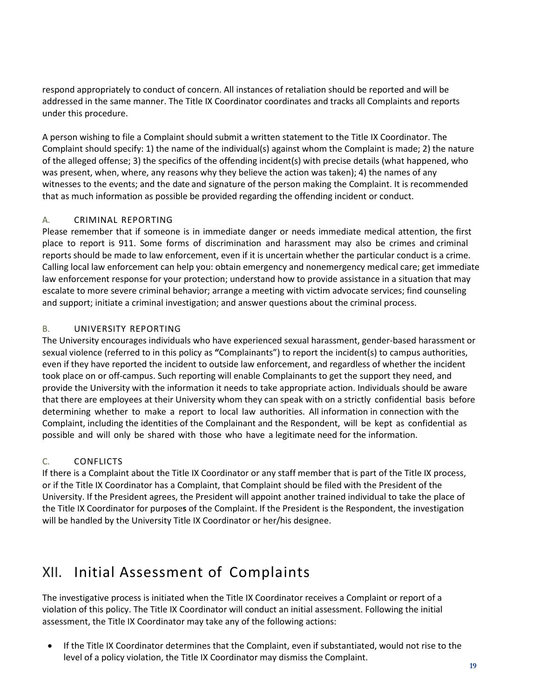respond appropriately to conduct of concern. All instances of retaliation should be reported and will be addressed in the same manner. The Title IX Coordinator coordinates and tracks all Complaints and reports under this procedure.

A person wishing to file a Complaint should submit a written statement to the Title IX Coordinator. The Complaint should specify: 1) the name of the individual(s) against whom the Complaint is made; 2) the nature of the alleged offense; 3) the specifics of the offending incident(s) with precise details (what happened, who was present, when, where, any reasons why they believe the action was taken); 4) the names of any witnesses to the events; and the date and signature of the person making the Complaint. It is recommended that as much information as possible be provided regarding the offending incident or conduct.

#### A. CRIMINAL REPORTING

Please remember that if someone is in immediate danger or needs immediate medical attention, the first place to report is 911. Some forms of discrimination and harassment may also be crimes and criminal reports should be made to law enforcement, even if it is uncertain whether the particular conduct is a crime. Calling local law enforcement can help you: obtain emergency and nonemergency medical care; get immediate law enforcement response for your protection; understand how to provide assistance in a situation that may escalate to more severe criminal behavior; arrange a meeting with victim advocate services; find counseling and support; initiate a criminal investigation; and answer questions about the criminal process.

#### B. UNIVERSITY REPORTING

The University encourages individuals who have experienced sexual harassment, gender‐based harassment or sexual violence (referred to in this policy as **"**Complainants") to report the incident(s) to campus authorities, even if they have reported the incident to outside law enforcement, and regardless of whether the incident took place on or off‐campus. Such reporting will enable Complainants to get the support they need, and provide the University with the information it needs to take appropriate action. Individuals should be aware that there are employees at their University whom they can speak with on a strictly confidential basis before determining whether to make a report to local law authorities. All information in connection with the Complaint, including the identities of the Complainant and the Respondent, will be kept as confidential as possible and will only be shared with those who have a legitimate need for the information.

#### C. CONFLICTS

If there is a Complaint about the Title IX Coordinator or any staff member that is part of the Title IX process, or if the Title IX Coordinator has a Complaint, that Complaint should be filed with the President of the University. If the President agrees, the President will appoint another trained individual to take the place of the Title IX Coordinator for purpose**s** of the Complaint. If the President is the Respondent, the investigation will be handled by the University Title IX Coordinator or her/his designee.

### <span id="page-18-0"></span>XII. Initial Assessment of Complaints

The investigative process is initiated when the Title IX Coordinator receives a Complaint or report of a violation of this policy. The Title IX Coordinator will conduct an initial assessment. Following the initial assessment, the Title IX Coordinator may take any of the following actions:

• If the Title IX Coordinator determines that the Complaint, even if substantiated, would not rise to the level of a policy violation, the Title IX Coordinator may dismiss the Complaint.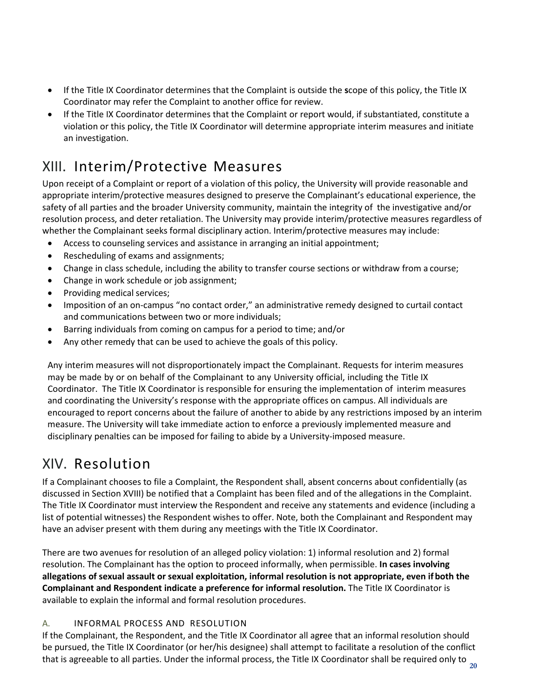- If the Title IX Coordinator determines that the Complaint is outside the **s**cope of this policy, the Title IX Coordinator may refer the Complaint to another office for review.
- If the Title IX Coordinator determines that the Complaint or report would, if substantiated, constitute a violation or this policy, the Title IX Coordinator will determine appropriate interim measures and initiate an investigation.

### <span id="page-19-0"></span>XIII. Interim/Protective Measures

Upon receipt of a Complaint or report of a violation of this policy, the University will provide reasonable and appropriate interim/protective measures designed to preserve the Complainant's educational experience, the safety of all parties and the broader University community, maintain the integrity of the investigative and/or resolution process, and deter retaliation. The University may provide interim/protective measures regardless of whether the Complainant seeks formal disciplinary action. Interim/protective measures may include:

- Access to counseling services and assistance in arranging an initial appointment;
- Rescheduling of exams and assignments;
- Change in class schedule, including the ability to transfer course sections or withdraw from a course;
- Change in work schedule or job assignment;
- Providing medical services;
- Imposition of an on-campus "no contact order," an administrative remedy designed to curtail contact and communications between two or more individuals;
- Barring individuals from coming on campus for a period to time; and/or
- Any other remedy that can be used to achieve the goals of this policy.

Any interim measures will not disproportionately impact the Complainant. Requests for interim measures may be made by or on behalf of the Complainant to any University official, including the Title IX Coordinator. The Title IX Coordinator is responsible for ensuring the implementation of interim measures and coordinating the University's response with the appropriate offices on campus. All individuals are encouraged to report concerns about the failure of another to abide by any restrictions imposed by an interim measure. The University will take immediate action to enforce a previously implemented measure and disciplinary penalties can be imposed for failing to abide by a University‐imposed measure.

### <span id="page-19-1"></span>XIV. Resolution

If a Complainant chooses to file a Complaint, the Respondent shall, absent concerns about confidentially (as discussed in Section XVIII) be notified that a Complaint has been filed and of the allegations in the Complaint. The Title IX Coordinator must interview the Respondent and receive any statements and evidence (including a list of potential witnesses) the Respondent wishes to offer. Note, both the Complainant and Respondent may have an adviser present with them during any meetings with the Title IX Coordinator.

There are two avenues for resolution of an alleged policy violation: 1) informal resolution and 2) formal resolution. The Complainant has the option to proceed informally, when permissible. **In cases involving allegations of sexual assault or sexual exploitation, informal resolution is not appropriate, even if both the Complainant and Respondent indicate a preference for informal resolution.** The Title IX Coordinator is available to explain the informal and formal resolution procedures.

#### A. INFORMAL PROCESS AND RESOLUTION

**20** that is agreeable to all parties. Under the informal process, the Title IX Coordinator shall be required only to If the Complainant, the Respondent, and the Title IX Coordinator all ag**r**ee that an informal resolution should be pursued, the Title IX Coordinator (or her/his designee) shall attempt to facilitate a resolution of the conflict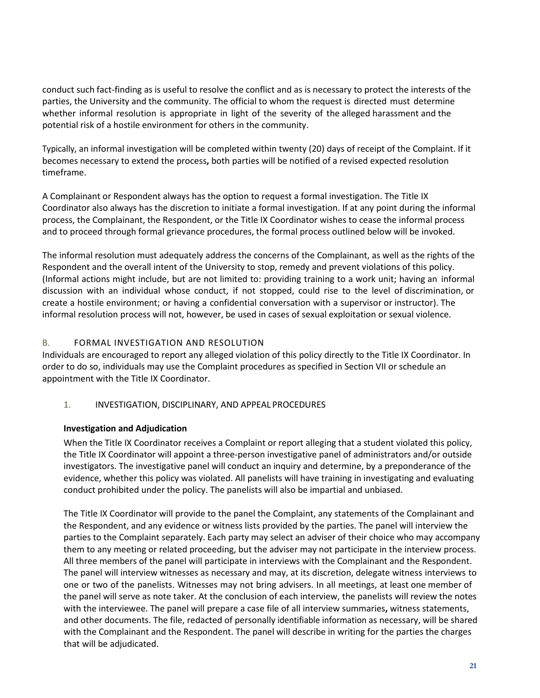conduct such fact-finding as is useful to resolve the conflict and as is necessary to protect the interests of the parties, the University and the community. The official to whom the request is directed must determine whether informal resolution is appropriate in light of the severity of the alleged harassment and the potential risk of a hostile environment for others in the community.

Typically, an informal investigation will be completed within twenty (20) days of receipt of the Complaint. If it becomes necessary to extend the process**,** both parties will be notified of a revised expected resolution timeframe.

A Complainant or Respondent always has the option to request a formal investigation. The Title IX Coordinator also always has the discretion to initiate a formal investigation. If at any point during the informal process, the Complainant, the Respondent, or the Title IX Coordinator wishes to cease the informal process and to proceed through formal grievance procedures, the formal process outlined below will be invoked.

The informal resolution must adequately address the concerns of the Complainant, as well as the rights of the Respondent and the overall intent of the University to stop, remedy and prevent violations of this policy. (Informal actions might include, but are not limited to: providing training to a work unit; having an informal discussion with an individual whose conduct, if not stopped, could rise to the level of discrimination, or create a hostile environment; or having a confidential conversation with a supervisor or instructor). The informal resolution process will not, however, be used in cases of sexual exploitation or sexual violence.

#### B. FORMAL INVESTIGATION AND RESOLUTION

Individuals are encouraged to report any alleged violation of this policy directly to the Title IX Coordinator. In order to do so, individuals may use the Complaint procedures as specified in Section VII or schedule an appointment with the Title IX Coordinator.

#### 1. INVESTIGATION, DISCIPLINARY, AND APPEAL PROCEDURES

#### **Investigation and Adjudication**

When the Title IX Coordinator receives a Complaint or report alleging that a student violated this policy, the Title IX Coordinator will appoint a three‐person investigative panel of administrators and/or outside investigators. The investigative panel will conduct an inquiry and determine, by a preponderance of the evidence, whether this policy was violated. All panelists will have training in investigating and evaluating conduct prohibited under the policy. The panelists will also be impartial and unbiased.

The Title IX Coordinator will provide to the panel the Complaint, any statements of the Complainant and the Respondent, and any evidence or witness lists provided by the parties. The panel will interview the parties to the Complaint separately. Each party may select an adviser of their choice who may accompany them to any meeting or related proceeding, but the adviser may not participate in the interview process. All three members of the panel will participate in interviews with the Complainant and the Respondent. The panel will interview witnesses as necessary and may, at its discretion, delegate witness interviews to one or two of the panelists. Witnesses may not bring advisers. In all meetings, at least one member of the panel will serve as note taker. At the conclusion of each interview, the panelists will review the notes with the interviewee. The panel will prepare a case file of all interview summaries**,** witness statements, and other documents. The file, redacted of personally identifiable information as necessary, will be shared with the Complainant and the Respondent. The panel will describe in writing for the parties the charges that will be adjudicated.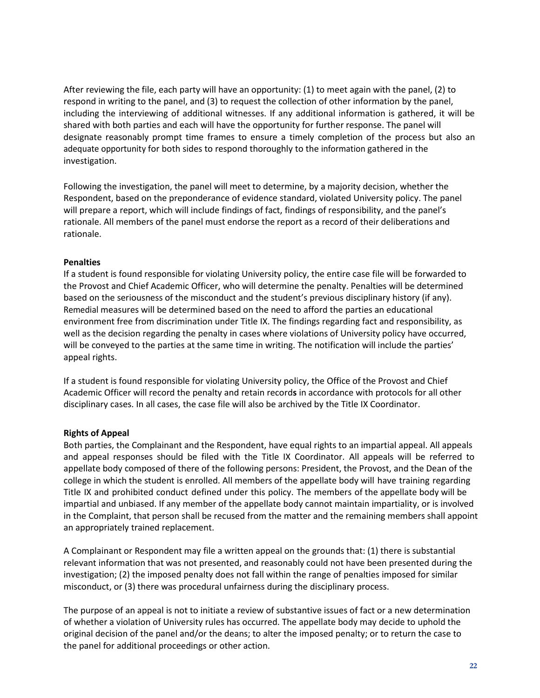After reviewing the file, each party will have an opportunity: (1) to meet again with the panel, (2) to respond in writing to the panel, and (3) to request the collection of other information by the panel, including the interviewing of additional witnesses. If any additional information is gathered, it will be shared with both parties and each will have the opportunity for further response. The panel will designate reasonably prompt time frames to ensure a timely completion of the process but also an adequate opportunity for both sides to respond thoroughly to the information gathered in the investigation.

Following the investigation, the panel will meet to determine, by a majority decision, whether the Respondent, based on the preponderance of evidence standard, violated University policy. The panel will prepare a report, which will include findings of fact, findings of responsibility, and the panel's rationale. All members of the panel must endorse the report as a record of their deliberations and rationale.

#### **Penalties**

If a student is found responsible for violating University policy, the entire case file will be forwarded to the Provost and Chief Academic Officer, who will determine the penalty. Penalties will be determined based on the seriousness of the misconduct and the student's previous disciplinary history (if any). Remedial measures will be determined based on the need to afford the parties an educational environment free from discrimination under Title IX. The findings regarding fact and responsibility, as well as the decision regarding the penalty in cases where violations of University policy have occurred, will be conveyed to the parties at the same time in writing. The notification will include the parties' appeal rights.

If a student is found responsible for violating University policy, the Office of the Provost and Chief Academic Officer will record the penalty and retain record**s** in accordance with protocols for all other disciplinary cases. In all cases, the case file will also be archived by the Title IX Coordinator.

#### **Rights of Appeal**

Both parties, the Complainant and the Respondent, have equal rights to an impartial appeal. All appeals and appeal responses should be filed with the Title IX Coordinator. All appeals will be referred to appellate body composed of there of the following persons: President, the Provost, and the Dean of the college in which the student is enrolled. All members of the appellate body will have training regarding Title IX and prohibited conduct defined under this policy. The members of the appellate body will be impartial and unbiased. If any member of the appellate body cannot maintain impartiality, or is involved in the Complaint, that person shall be recused from the matter and the remaining members shall appoint an appropriately trained replacement.

A Complainant or Respondent may file a written appeal on the grounds that: (1) there is substantial relevant information that was not presented, and reasonably could not have been presented during the investigation; (2) the imposed penalty does not fall within the range of penalties imposed for similar misconduct, or (3) there was procedural unfairness during the disciplinary process.

The purpose of an appeal is not to initiate a review of substantive issues of fact or a new determination of whether a violation of University rules has occurred. The appellate body may decide to uphold the original decision of the panel and/or the deans; to alter the imposed penalty; or to return the case to the panel for additional proceedings or other action.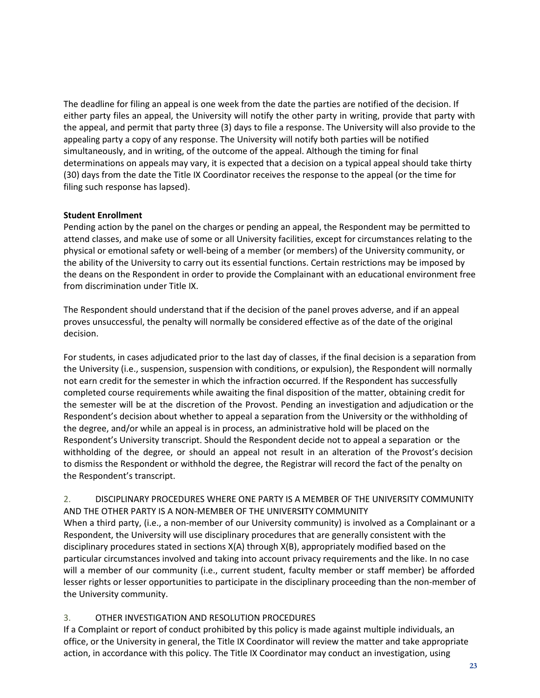The deadline for filing an appeal is one week from the date the parties are notified of the decision. If either party files an appeal, the University will notify the other party in writing, provide that party with the appeal, and permit that party three (3) days to file a response. The University will also provide to the appealing party a copy of any response. The University will notify both parties will be notified simultaneously, and in writing, of the outcome of the appeal. Although the timing for final determinations on appeals may vary, it is expected that a decision on a typical appeal should take thirty (30) days from the date the Title IX Coordinator receives the response to the appeal (or the time for filing such response has lapsed).

#### **Student Enrollment**

Pending action by the panel on the charges or pending an appeal, the Respondent may be permitted to attend classes, and make use of some or all University facilities, except for circumstances relating to the physical or emotional safety or well‐being of a member (or members) of the University community, or the ability of the University to carry out its essential functions. Certain restrictions may be imposed by the deans on the Respondent in order to provide the Complainant with an educational environment free from discrimination under Title IX.

The Respondent should understand that if the decision of the panel proves adverse, and if an appeal proves unsuccessful, the penalty will normally be considered effective as of the date of the original decision.

For students, in cases adjudicated prior to the last day of classes, if the final decision is a separation from the University (i.e., suspension, suspension with conditions, or expulsion), the Respondent will normally not earn credit for the semester in which the infraction o**c**curred. If the Respondent has successfully completed course requirements while awaiting the final disposition of the matter, obtaining credit for the semester will be at the discretion of the Provost. Pending an investigation and adjudication or the Respondent's decision about whether to appeal a separation from the University or the withholding of the degree, and/or while an appeal is in process, an administrative hold will be placed on the Respondent's University transcript. Should the Respondent decide not to appeal a separation or the withholding of the degree, or should an appeal not result in an alteration of the Provost's decision to dismiss the Respondent or withhold the degree, the Registrar will record the fact of the penalty on the Respondent's transcript.

#### 2. DISCIPLINARY PROCEDURES WHERE ONE PARTY IS A MEMBER OF THE UNIVERSITY COMMUNITY AND THE OTHER PARTY IS A NON‐MEMBER OF THE UNIVERS**I**TY COMMUNITY

When a third party, (i.e., a non-member of our University community) is involved as a Complainant or a Respondent, the University will use disciplinary procedures that are generally consistent with the disciplinary procedures stated in sections X(A) through X(B), appropriately modified based on the particular circumstances involved and taking into account privacy requirements and the like. In no case will a member of our community (i.e., current student, faculty member or staff member) be afforded lesser rights or lesser opportunities to participate in the disciplinary proceeding than the non-member of the University community.

#### 3. OTHER INVESTIGATION AND RESOLUTION PROCEDURES

If a Complaint or report of conduct prohibited by this policy is made against multiple individuals, an office, or the University in general, the Title IX Coordinator will review the matter and take appropriate action, in accordance with this policy. The Title IX Coordinator may conduct an investigation, using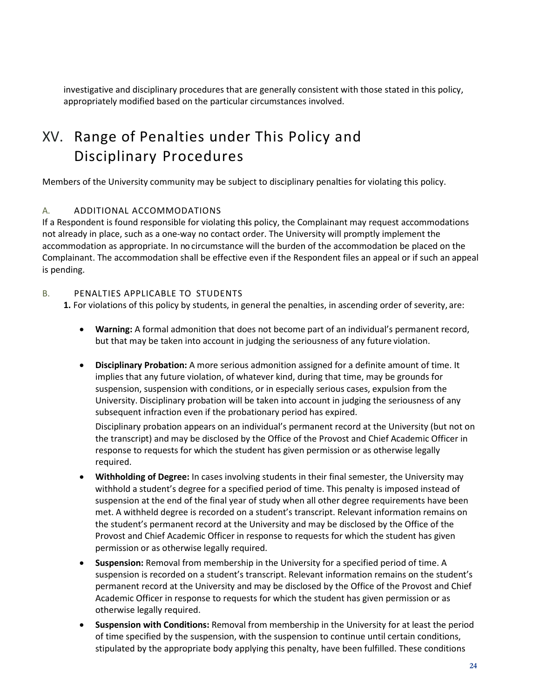investigative and disciplinary procedures that are generally consistent with those stated in this policy, appropriately modified based on the particular circumstances involved.

### <span id="page-23-0"></span>XV. Range of Penalties under This Policy and Disciplinary Procedures

Members of the University community may be subject to disciplinary penalties for violating this policy.

#### A. ADDITIONAL ACCOMMODATIONS

If a Respondent is found responsible for violating th**i**s policy, the Complainant may request accommodations not already in place, such as a one-way no contact order. The University will promptly implement the accommodation as appropriate. In nocircumstance will the burden of the accommodation be placed on the Complainant. The accommodation shall be effective even if the Respondent files an appeal or if such an appeal is pending.

#### B. PENALTIES APPLICABLE TO STUDENTS

**1.** For violations of this policy by students, in general the penalties, in ascending order of severity, are:

- **Warning:** A formal admonition that does not become part of an individual's permanent record, but that may be taken into account in judging the seriousness of any future violation.
- **Disciplinary Probation:** A more serious admonition assigned for a definite amount of time. It implies that any future violation, of whatever kind, during that time, may be grounds for suspension, suspension with conditions, or in especially serious cases, expulsion from the University. Disciplinary probation will be taken into account in judging the seriousness of any subsequent infraction even if the probationary period has expired.

Disciplinary probation appears on an individual's permanent record at the University (but not on the transcript) and may be disclosed by the Office of the Provost and Chief Academic Officer in response to requests for which the student has given permission or as otherwise legally required.

- **Withholding of Degree:** In cases involving students in their final semester, the University may withhold a student's degree for a specified period of time. This penalty is imposed instead of suspension at the end of the final year of study when all other degree requirements have been met. A withheld degree is recorded on a student's transcript. Relevant information remains on the student's permanent record at the University and may be disclosed by the Office of the Provost and Chief Academic Officer in response to requests for which the student has given permission or as otherwise legally required.
- **Suspension:** Removal from membership in the University for a specified period of time. A suspension is recorded on a student's transcript. Relevant information remains on the student's permanent record at the University and may be disclosed by the Office of the Provost and Chief Academic Officer in response to requests for which the student has given permission or as otherwise legally required.
- **Suspension with Conditions:** Removal from membership in the University for at least the period of time specified by the suspension, with the suspension to continue until certain conditions, stipulated by the appropriate body applying this penalty, have been fulfilled. These conditions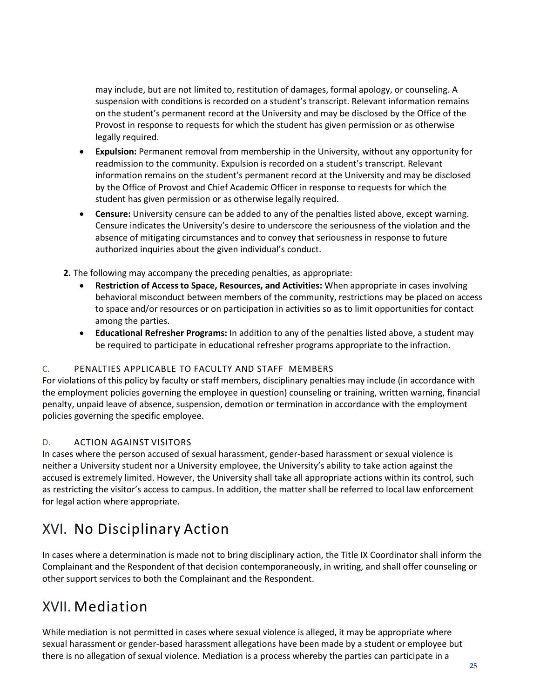may include, but are not limited to, restitution of damages, formal apology, or counseling. A suspension with conditions is recorded on a student's transcript. Relevant information remains on the student's permanent record at the University and may be disclosed by the Office of the Provost in response to requests for which the student has given permission or as otherwise legally required.

- **Expulsion:** Permanent removal from membership in the University, without any opportunity for readmission to the community. Expulsion is recorded on a student's transcript. Relevant information remains on the student's permanent record at the University and may be disclosed by the Office of Provost and Chief Academic Officer in response to requests for which the student has given permission or as otherwise legally required.
- **Censure:** University censure can be added to any of the penalties listed above, except warning. Censure indicates the University's desire to underscore the seriousness of the violation and the absence of mitigating circumstances and to convey that seriousness in response to future authorized inquiries about the given individual's conduct.

**2.** The following may accompany the preceding penalties, as appropriate:

- **Restriction of Access to Space, Resources, and Activities:** When appropriate in cases involving behavioral misconduct between members of the community, restrictions may be placed on access to space and/or resources or on participation in activities so as to limit opportunities for contact among the parties.
- **Educational Refresher Programs:** In addition to any of the penalties listed above, a student may be required to participate in educational refresher programs appropriate to the infraction.

#### C. PENALTIES APPLICABLE TO FACULTY AND STAFF MEMBERS

For violations of this policy by faculty or staff members, disciplinary penalties may include (in accordance with the employment policies governing the employee in question) counseling or training, written warning, financial penalty, unpaid leave of absence, suspension, demotion or termination in accordance with the employment policies governing the spe**c**ific employee.

#### D. ACTION AGAINST VISITORS

In cases where the person accused of sexual harassment, gender‐based harassment or sexual violence is neither a University student nor a University employee, the University's ability to take action against the accused is extremely limited. However, the University shall take all appropriate actions within its control, such as restricting the visitor's access to campus. In addition, the matter shall be referred to local law enforcement for legal action where appropriate.

### <span id="page-24-0"></span>XVI. No Disciplinary Action

In cases where a determination is made not to bring disciplinary action, the Title IX Coordinator shall inform the Complainant and the Respondent of that decision contemporaneously, in writing, and shall offer counseling or other support services to both the Complainant and the Respondent.

### <span id="page-24-1"></span>XVII. Mediation

While mediation is not permitted in cases where sexual violence is alleged, it may be appropriate where sexual harassment or gender‐based harassment allegations have been made by a student or employee but there is no allegation of sexual violence. Mediation is a process whe**r**eby the parties can participate in a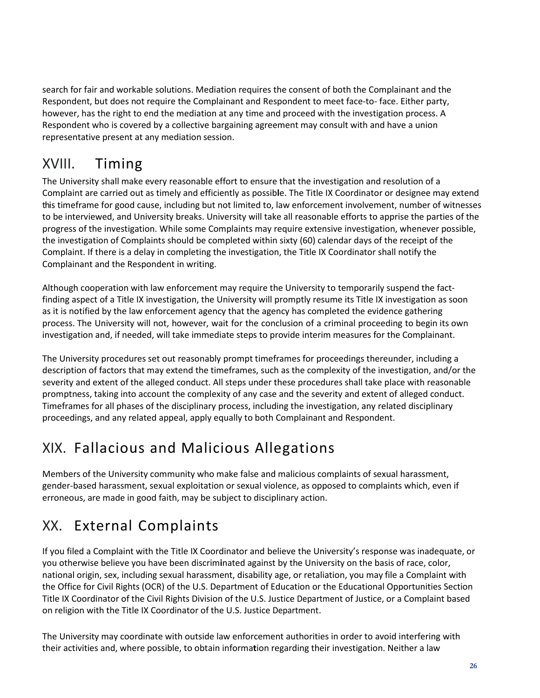search for fair and workable solutions. Mediation requires the consent of both the Complainant and the Respondent, but does not require the Complainant and Respondent to meet face-to-face. Either party, however, has the right to end the mediation at any time and proceed with the investigation process. A Respondent who is covered by a collective bargaining agreement may consult with and have a union representative present at any mediation session.

### <span id="page-25-0"></span>XVIII. Timing

The University shall make every reasonable effort to ensure that the investigation and resolution of a Complaint are carried out as timely and efficiently as possib**l**e. The Title IX Coordinator or designee may extend this timeframe for good cause, including but not limited to, law enforcement involvement, number of witnesses to be interviewed, and University breaks. University will take all reasonable efforts to apprise the parties of the progress of the investigation. While some Complaints may require extensive investigation, whenever possible, the investigation of Complaints should be completed within sixty (60) calendar days of the receipt of the Complaint. If there is a delay in completing the investigation, the Title IX Coordinator shall notify the Complainant and the Respondent in writing.

Although cooperation with law enforcement may require the University to temporarily suspend the fact‐ finding aspect of a Title IX investigation, the University will promptly resume its Title IX investigation as soon as it is notified by the law enforcement agency that the agency has completed the evidence gathering process. The University will not, however, wait for the conclusion of a criminal proceeding to begin its own investigation and, if needed, will take immediate steps to provide interim measures for the Complainant.

The University procedures set out reasonably prompt timeframes for proceedings thereunder, including a description of factors that may extend the timeframes, such as the complexity of the investigation, and/or the severity and extent of the alleged conduct. All steps under these procedures shall take place with reasonable promptness, taking into account the complexity of any case and the severity and extent of alleged conduct. Timeframes for all phases of the disciplinary process, including the investigation, any related disciplinary proceedings, and any related appeal, apply equally to both Complainant and Respondent.

### <span id="page-25-1"></span>XIX. Fallacious and Malicious Allegations

Members of the University community who make false and malicious complaints of sexual harassment, gender‐based harassment, sexual exploitation or sexual violence, as opposed to complaints which, even if erroneous, are made in good faith, may be subject to disciplinary action.

### <span id="page-25-2"></span>XX. External Complaints

If you filed a Complaint with the Title IX Coordinator and believe the University's response was inadequate, or you otherwise believe you have been discrim**i**nated against by the University on the basis of race, color, national origin, sex, including sexual harassment, disability age, or retaliation, you may file a Complaint with the Office for Civil Rights (OCR) of the U.S. Department of Education or the Educational Opportunities Section Title IX Coordinator of the Civil Rights Division of the U.S. Justice Department of Justice, or a Complaint based on religion with the Title IX Coordinator of the U.S. Justice Department.

The University may coordinate with outside law enforcement authorities in order to avoid interfering with their activities and, where possible, to obtain informa**t**ion regarding their investigation. Neither a law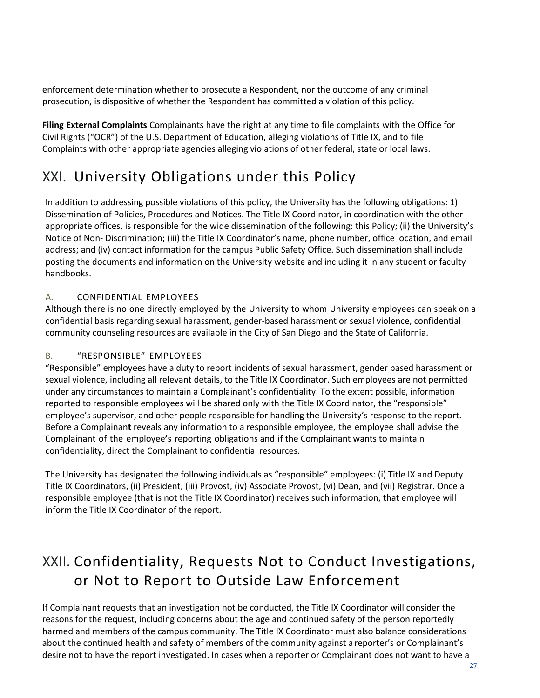enforcement determination whether to prosecute a Respondent, nor the outcome of any criminal prosecution, is dispositive of whether the Respondent has committed a violation of this policy.

**Filing External Complaints** Complainants have the right at any time to file complaints with the Office for Civil Rights ("OCR") of the U.S. Department of Education, alleging violations of Title IX, and to file Complaints with other appropriate agencies alleging violations of other federal, state or local laws.

### <span id="page-26-0"></span>XXI. University Obligations under this Policy

In addition to addressing possible violations of this policy, the University has the following obligations: 1) Dissemination of Policies, Procedures and Notices. The Title IX Coordinator, in coordination with the other appropriate offices, is responsible for the wide dissemination of the following: this Policy; (ii) the University's Notice of Non‐ Discrimination; (iii) the Title IX Coordinator's name, phone number, office location, and email address; and (iv) contact information for the campus Public Safety Office. Such dissemination shall include posting the documents and information on the University website and including it in any student or faculty handbooks.

#### A. CONFIDENTIAL EMPLOYEES

Although there is no one directly employed by the University to whom University employees can speak on a confidential basis regarding sexual harassment, gender‐based harassment or sexual violence, confidential community counseling resources are available in the City of San Diego and the State of California.

#### B. "RESPONSIBLE" EMPLOYEES

"Responsible" employees have a duty to report incidents of sexual harassment, gender based harassment or sexual violence, including all relevant details, to the Title IX Coordinator. Such employees are not permitted under any circumstances to maintain a Complainant's confidentiality. To the extent possible, information reported to responsible employees will be shared only with the Title IX Coordinator, the "responsible" employee's supervisor, and other people responsible for handling the University's response to the report. Before a Complainan**t** reveals any information to a responsible employee, the employee shall advise the Complainant of the employee**'**s reporting obligations and if the Complainant wants to maintain confidentiality, direct the Complainant to confidential resources.

The University has designated the following individuals as "responsible" employees: (i) Title IX and Deputy Title IX Coordinators, (ii) President, (iii) Provost, (iv) Associate Provost, (vi) Dean, and (vii) Registrar. Once a responsible employee (that is not the Title IX Coordinator) receives such information, that employee will inform the Title IX Coordinator of the report.

### <span id="page-26-1"></span>XXII. Confidentiality, Requests Not to Conduct Investigations, or Not to Report to Outside Law Enforcement

If Complainant requests that an investigation not be conducted, the Title IX Coordinator will consider the reasons for the request, including concerns about the age and continued safety of the person reportedly harmed and members of the campus community. The Title IX Coordinator must also balance considerations about the continued health and safety of members of the community against a reporter's or Complainant's desire not to have the report investigated. In cases when a reporter or Complainant does not want to have a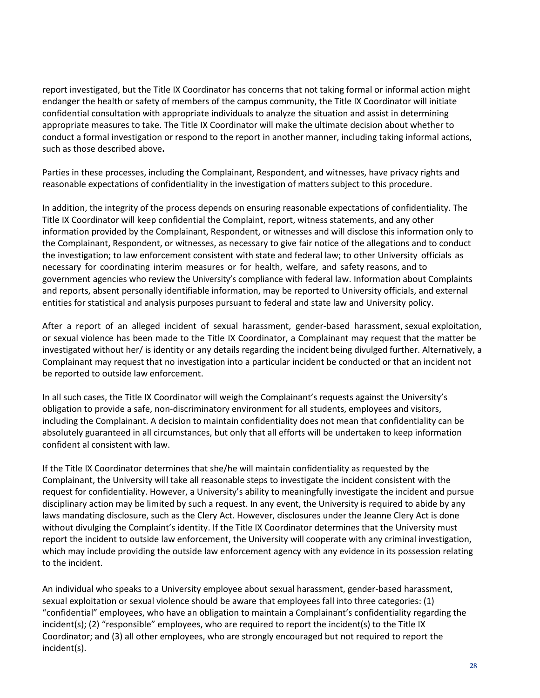report investigated, but the Title IX Coordinator has concerns that not taking formal or informal action might endanger the health or safety of members of the campus community, the Title IX Coordinator will initiate confidential consultation with appropriate individuals to analyze the situation and assist in determining appropriate measures to take. The Title IX Coordinator will make the ultimate decision about whether to conduct a formal investigation or respond to the report in another manner, including taking informal actions, such as those des**c**ribed above**.**

Parties in these processes, including the Complainant, Respondent, and witnesses, have privacy rights and reasonable expectations of confidentiality in the investigation of matters subject to this procedure.

In addition, the integrity of the process depends on ensuring reasonable expectations of confidentiality. The Title IX Coordinator will keep confidential the Complaint, report, witness statements, and any other information provided by the Complainant, Respondent, or witnesses and will disclose this information only to the Complainant, Respondent, or witnesses, as necessary to give fair notice of the allegations and to conduct the investigation; to law enforcement consistent with state and federal law; to other University officials as necessary for coordinating interim measures or for health, welfare, and safety reasons, and to government agencies who review the University's compliance with federal law. Information about Complaints and reports, absent personally identifiable information, may be reported to University officials, and external entities for statistical and analysis purposes pursuant to federal and state law and University policy.

After a report of an alleged incident of sexual harassment, gender‐based harassment, sexual exploitation, or sexual violence has been made to the Title IX Coordinator, a Complainant may request that the matter be investigated without her/ is identity or any details regarding the incident being divulged further. Alternatively, a Complainant may request that no investigation into a particular incident be conducted or that an incident not be reported to outside law enforcement.

In all such cases, the Title IX Coordinator will weigh the Complainant's requests against the University's obligation to provide a safe, non‐discriminatory environment for all students, employees and visitors, including the Complainant. A decision to maintain confidentiality does not mean that confidentiality can be absolutely guaranteed in all circumstances, but only that all efforts will be undertaken to keep information confident al consistent with law.

If the Title IX Coordinator determines that she/he will maintain confidentiality as requested by the Complainant, the University will take all reasonable steps to investigate the incident consistent with the request for confidentiality. However, a University's ability to meaningfully investigate the incident and pursue disciplinary action may be limited by such a request. In any event, the University is required to abide by any laws mandating disclosure, such as the Clery Act. However, disclosures under the Jeanne Clery Act is done without divulging the Complaint's identity. If the Title IX Coordinator determines that the University must report the incident to outside law enforcement, the University will cooperate with any criminal investigation, which may include providing the outside law enforcement agency with any evidence in its possession relating to the incident.

An individual who speaks to a University employee about sexual harassment, gender‐based harassment, sexual exploitation or sexual violence should be aware that employees fall into three categories: (1) "confidential" employees, who have an obligation to maintain a Complainant's confidentiality regarding the incident(s); (2) "responsible" employees, who are required to report the incident(s) to the Title IX Coordinator; and (3) all other employees, who are strongly encouraged but not required to report the incident(s).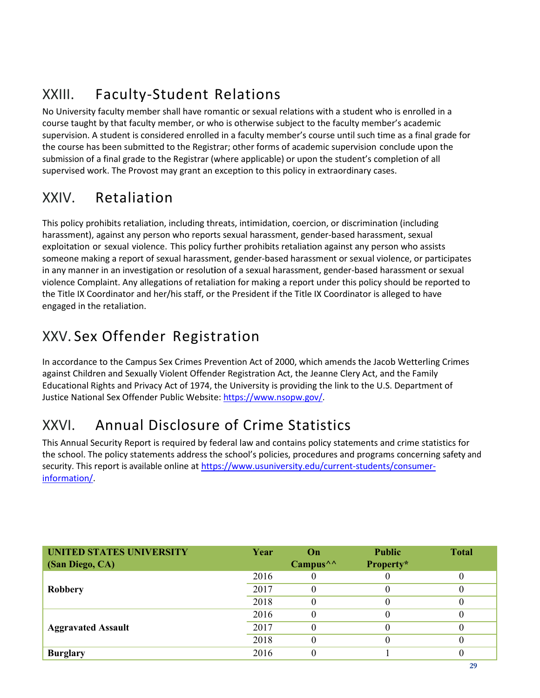## <span id="page-28-0"></span>XXIII. Faculty‐Student Relations

No University faculty member shall have romantic or sexual relations with a student who is enrolled in a course taught by that faculty member, or who is otherwise subject to the faculty member's academic supervision. A student is considered enrolled in a faculty member's course until such time as a final grade for the course has been submitted to the Registrar; other forms of academic supervision conclude upon the submission of a final grade to the Registrar (where applicable) or upon the student's completion of all supervised work. The Provost may grant an exception to this policy in extraordinary cases.

### <span id="page-28-1"></span>XXIV. Retaliation

This policy prohibits retaliation, including threats, intimidation, coercion, or discrimination (including harassment), against any person who reports sexual harassment, gender‐based harassment, sexual exploitation or sexual violence. This policy further prohibits retaliation against any person who assists someone making a report of sexual harassment, gender‐based harassment or sexual violence, or participates in any manner in an investigation or resolut**i**on of a sexual harassment, gender‐based harassment or sexual violence Complaint. Any allegations of retaliation for making a report under this policy should be reported to the Title IX Coordinator and her/his staff, or the President if the Title IX Coordinator is alleged to have engaged in the retaliation.

### <span id="page-28-2"></span>XXV. Sex Offender Registration

In accordance to the Campus Sex Crimes Prevention Act of 2000, which amends the Jacob Wetterling Crimes against Children and Sexually Violent Offender Registration Act, the Jeanne Clery Act, and the Family Educational Rights and Privacy Act of 1974, the University is providing the link to the U.S. Department of Justice National Sex Offender Public Website: [https://www.nsopw.gov/.](https://www.nsopw.gov/)

### <span id="page-28-3"></span>XXVI. Annual Disclosure of Crime Statistics

This Annual Security Report is required by federal law and contains policy statements and crime statistics for the school. The policy statements address the school's policies, procedures and programs concerning safety and security. This report is available online at [https://www.usuniversity.edu/current-students/consumer](https://www.usuniversity.edu/current-students/consumer-information/)[information/.](https://www.usuniversity.edu/current-students/consumer-information/)

| <b>UNITED STATES UNIVERSITY</b><br>(San Diego, CA) | Year | On<br>Campus $\wedge$ | <b>Public</b><br>Property* | <b>Total</b> |
|----------------------------------------------------|------|-----------------------|----------------------------|--------------|
|                                                    | 2016 |                       |                            |              |
| Robbery                                            | 2017 |                       |                            |              |
|                                                    | 2018 |                       |                            |              |
|                                                    | 2016 |                       |                            |              |
| <b>Aggravated Assault</b>                          | 2017 |                       |                            |              |
|                                                    | 2018 |                       |                            |              |
| <b>Burglary</b>                                    | 2016 |                       |                            |              |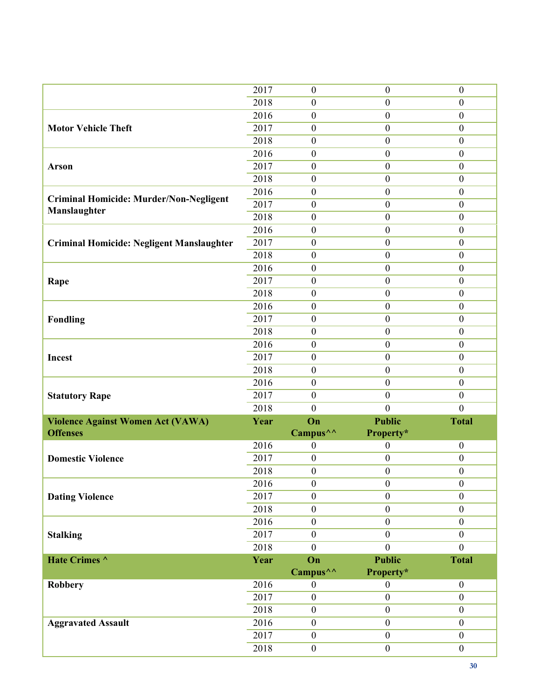|                                                  | 2017              | $\boldsymbol{0}$     | $\boldsymbol{0}$ | $\boldsymbol{0}$ |
|--------------------------------------------------|-------------------|----------------------|------------------|------------------|
|                                                  | 2018              | $\boldsymbol{0}$     | $\boldsymbol{0}$ | $\boldsymbol{0}$ |
|                                                  | 2016              | $\boldsymbol{0}$     | $\boldsymbol{0}$ | $\boldsymbol{0}$ |
| <b>Motor Vehicle Theft</b>                       | 2017              | $\boldsymbol{0}$     | $\boldsymbol{0}$ | $\boldsymbol{0}$ |
|                                                  | 2018              | $\boldsymbol{0}$     | $\mathbf{0}$     | $\boldsymbol{0}$ |
|                                                  | 2016              | $\boldsymbol{0}$     | $\boldsymbol{0}$ | $\boldsymbol{0}$ |
| <b>Arson</b>                                     | 2017              | $\boldsymbol{0}$     | $\boldsymbol{0}$ | $\boldsymbol{0}$ |
|                                                  | 2018              | $\boldsymbol{0}$     | $\boldsymbol{0}$ | $\boldsymbol{0}$ |
|                                                  | 2016              | $\boldsymbol{0}$     | $\boldsymbol{0}$ | $\boldsymbol{0}$ |
| <b>Criminal Homicide: Murder/Non-Negligent</b>   | 2017              | $\boldsymbol{0}$     | $\mathbf{0}$     | $\boldsymbol{0}$ |
| Manslaughter                                     | 2018              | $\boldsymbol{0}$     | $\boldsymbol{0}$ | $\boldsymbol{0}$ |
|                                                  | 2016              | $\boldsymbol{0}$     | $\boldsymbol{0}$ | $\boldsymbol{0}$ |
| <b>Criminal Homicide: Negligent Manslaughter</b> | 2017              | $\boldsymbol{0}$     | $\boldsymbol{0}$ | $\boldsymbol{0}$ |
|                                                  | 2018              | $\boldsymbol{0}$     | $\boldsymbol{0}$ | $\boldsymbol{0}$ |
|                                                  | 2016              | $\boldsymbol{0}$     | $\mathbf{0}$     | $\boldsymbol{0}$ |
|                                                  | 2017              | $\boldsymbol{0}$     | $\boldsymbol{0}$ | $\boldsymbol{0}$ |
| Rape                                             | 2018              | $\boldsymbol{0}$     | $\boldsymbol{0}$ | $\boldsymbol{0}$ |
|                                                  | 2016              |                      | $\boldsymbol{0}$ | $\mathbf{0}$     |
|                                                  |                   | $\boldsymbol{0}$     |                  |                  |
| <b>Fondling</b>                                  | 2017              | $\boldsymbol{0}$     | $\mathbf{0}$     | $\boldsymbol{0}$ |
|                                                  | 2018              | $\boldsymbol{0}$     | $\boldsymbol{0}$ | $\boldsymbol{0}$ |
|                                                  | 2016              | $\boldsymbol{0}$     | $\boldsymbol{0}$ | $\boldsymbol{0}$ |
| Incest                                           | 2017              | $\boldsymbol{0}$     | $\boldsymbol{0}$ | $\boldsymbol{0}$ |
|                                                  | 2018              | $\boldsymbol{0}$     | $\boldsymbol{0}$ | $\mathbf{0}$     |
|                                                  |                   |                      |                  |                  |
|                                                  | 2016              | $\boldsymbol{0}$     | $\mathbf{0}$     | $\boldsymbol{0}$ |
| <b>Statutory Rape</b>                            | 2017              | $\boldsymbol{0}$     | $\mathbf{0}$     | $\boldsymbol{0}$ |
|                                                  | 2018              | $\boldsymbol{0}$     | $\mathbf{0}$     | $\boldsymbol{0}$ |
| <b>Violence Against Women Act (VAWA)</b>         | Year              | On                   | <b>Public</b>    | <b>Total</b>     |
| <b>Offenses</b>                                  |                   | Campus <sup>^^</sup> | Property*        |                  |
|                                                  | 2016              | $\boldsymbol{0}$     | $\boldsymbol{0}$ | $\boldsymbol{0}$ |
| <b>Domestic Violence</b>                         | 2017              | $\boldsymbol{0}$     | $\boldsymbol{0}$ | $\boldsymbol{0}$ |
|                                                  | 2018              | $\boldsymbol{0}$     | $\boldsymbol{0}$ | $\boldsymbol{0}$ |
|                                                  | 2016              | $\boldsymbol{0}$     | $\boldsymbol{0}$ | $\mathbf{0}$     |
| <b>Dating Violence</b>                           | $\overline{2017}$ | $\boldsymbol{0}$     | $\boldsymbol{0}$ | $\boldsymbol{0}$ |
|                                                  | 2018              | $\boldsymbol{0}$     | $\mathbf{0}$     | $\boldsymbol{0}$ |
|                                                  | 2016              | $\boldsymbol{0}$     | $\mathbf{0}$     | $\boldsymbol{0}$ |
| <b>Stalking</b>                                  | 2017              | $\boldsymbol{0}$     | $\mathbf{0}$     | $\boldsymbol{0}$ |
|                                                  | 2018              | $\mathbf{0}$         | $\overline{0}$   | $\overline{0}$   |
| Hate Crimes ^                                    | Year              | On                   | <b>Public</b>    | <b>Total</b>     |
|                                                  |                   | Campus <sup>^^</sup> | Property*        |                  |
| <b>Robbery</b>                                   | 2016              | $\boldsymbol{0}$     | $\boldsymbol{0}$ | $\boldsymbol{0}$ |
|                                                  | 2017              | $\overline{0}$       | $\overline{0}$   | $\overline{0}$   |
|                                                  | 2018              | $\boldsymbol{0}$     | $\mathbf{0}$     | $\boldsymbol{0}$ |
|                                                  | 2016              | $\boldsymbol{0}$     | $\mathbf{0}$     | $\boldsymbol{0}$ |
| <b>Aggravated Assault</b>                        |                   | $\boldsymbol{0}$     | $\boldsymbol{0}$ | $\boldsymbol{0}$ |
|                                                  | 2017<br>2018      | $\boldsymbol{0}$     | $\boldsymbol{0}$ | $\boldsymbol{0}$ |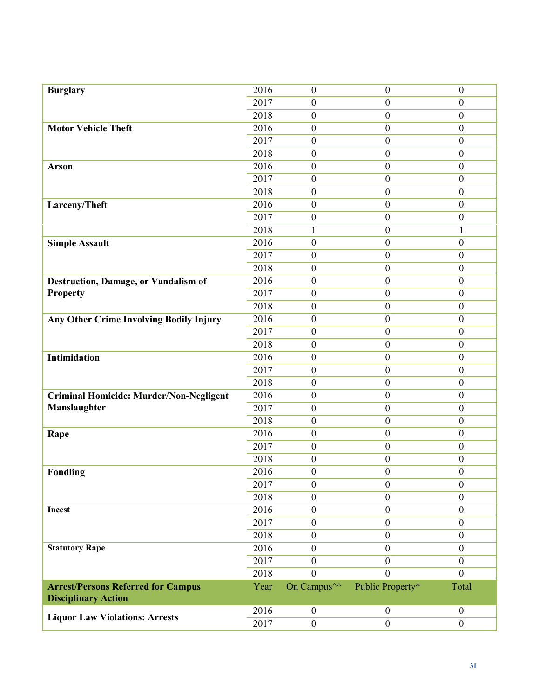| <b>Burglary</b>                                | 2016 | $\boldsymbol{0}$        | $\boldsymbol{0}$ | $\boldsymbol{0}$ |
|------------------------------------------------|------|-------------------------|------------------|------------------|
|                                                | 2017 | $\boldsymbol{0}$        | $\boldsymbol{0}$ | $\boldsymbol{0}$ |
|                                                | 2018 | $\boldsymbol{0}$        | $\boldsymbol{0}$ | $\mathbf{0}$     |
| <b>Motor Vehicle Theft</b>                     | 2016 | $\boldsymbol{0}$        | $\boldsymbol{0}$ | $\boldsymbol{0}$ |
|                                                | 2017 | $\boldsymbol{0}$        | $\mathbf{0}$     | $\boldsymbol{0}$ |
|                                                | 2018 | $\boldsymbol{0}$        | $\boldsymbol{0}$ | $\boldsymbol{0}$ |
| <b>Arson</b>                                   | 2016 | $\boldsymbol{0}$        | $\boldsymbol{0}$ | $\boldsymbol{0}$ |
|                                                | 2017 | $\boldsymbol{0}$        | $\mathbf{0}$     | $\mathbf{0}$     |
|                                                | 2018 | $\boldsymbol{0}$        | $\boldsymbol{0}$ | $\boldsymbol{0}$ |
| Larceny/Theft                                  | 2016 | $\boldsymbol{0}$        | $\mathbf{0}$     | $\boldsymbol{0}$ |
|                                                | 2017 | $\boldsymbol{0}$        | $\boldsymbol{0}$ | $\boldsymbol{0}$ |
|                                                | 2018 | $\mathbf{1}$            | $\boldsymbol{0}$ | 1                |
| <b>Simple Assault</b>                          | 2016 | $\boldsymbol{0}$        | $\boldsymbol{0}$ | $\mathbf{0}$     |
|                                                | 2017 | $\boldsymbol{0}$        | $\boldsymbol{0}$ | $\boldsymbol{0}$ |
|                                                | 2018 | $\boldsymbol{0}$        | $\mathbf{0}$     | $\boldsymbol{0}$ |
| Destruction, Damage, or Vandalism of           | 2016 | $\boldsymbol{0}$        | $\boldsymbol{0}$ | $\boldsymbol{0}$ |
| Property                                       | 2017 | $\boldsymbol{0}$        | $\boldsymbol{0}$ | $\boldsymbol{0}$ |
|                                                | 2018 | $\boldsymbol{0}$        | $\boldsymbol{0}$ | $\boldsymbol{0}$ |
| Any Other Crime Involving Bodily Injury        | 2016 | $\boldsymbol{0}$        | $\boldsymbol{0}$ | $\boldsymbol{0}$ |
|                                                | 2017 | $\boldsymbol{0}$        | $\mathbf{0}$     | $\boldsymbol{0}$ |
|                                                | 2018 | $\boldsymbol{0}$        | $\boldsymbol{0}$ | $\boldsymbol{0}$ |
| <b>Intimidation</b>                            | 2016 | $\boldsymbol{0}$        | $\boldsymbol{0}$ | $\boldsymbol{0}$ |
|                                                | 2017 | $\boldsymbol{0}$        | $\boldsymbol{0}$ | $\boldsymbol{0}$ |
|                                                | 2018 | $\boldsymbol{0}$        | $\boldsymbol{0}$ | $\boldsymbol{0}$ |
| <b>Criminal Homicide: Murder/Non-Negligent</b> | 2016 | $\boldsymbol{0}$        | $\mathbf{0}$     | $\boldsymbol{0}$ |
| <b>Manslaughter</b>                            | 2017 | $\boldsymbol{0}$        | $\boldsymbol{0}$ | $\boldsymbol{0}$ |
|                                                | 2018 | $\boldsymbol{0}$        | $\boldsymbol{0}$ | $\boldsymbol{0}$ |
| Rape                                           | 2016 | $\boldsymbol{0}$        | $\boldsymbol{0}$ | $\boldsymbol{0}$ |
|                                                | 2017 | $\boldsymbol{0}$        | $\mathbf{0}$     | $\boldsymbol{0}$ |
|                                                | 2018 | $\boldsymbol{0}$        | $\boldsymbol{0}$ | $\boldsymbol{0}$ |
| Fondling                                       | 2016 | $\boldsymbol{0}$        | $\boldsymbol{0}$ | $\boldsymbol{0}$ |
|                                                | 2017 | $\boldsymbol{0}$        | $\mathbf{0}$     | $\boldsymbol{0}$ |
|                                                | 2018 | $\boldsymbol{0}$        | $\mathbf{0}$     | $\boldsymbol{0}$ |
| Incest                                         | 2016 | $\boldsymbol{0}$        | $\mathbf{0}$     | $\boldsymbol{0}$ |
|                                                | 2017 | $\boldsymbol{0}$        | $\mathbf{0}$     | $\mathbf{0}$     |
|                                                | 2018 | $\boldsymbol{0}$        | $\mathbf{0}$     | $\boldsymbol{0}$ |
| <b>Statutory Rape</b>                          | 2016 | $\boldsymbol{0}$        | $\mathbf{0}$     | $\boldsymbol{0}$ |
|                                                | 2017 | $\boldsymbol{0}$        | $\mathbf{0}$     | $\boldsymbol{0}$ |
|                                                | 2018 | $\boldsymbol{0}$        | $\boldsymbol{0}$ | $\overline{0}$   |
| <b>Arrest/Persons Referred for Campus</b>      | Year | On Campus <sup>^^</sup> | Public Property* | Total            |
| <b>Disciplinary Action</b>                     |      |                         |                  |                  |
| <b>Liquor Law Violations: Arrests</b>          | 2016 | $\boldsymbol{0}$        | $\mathbf{0}$     | $\boldsymbol{0}$ |
|                                                | 2017 | $\boldsymbol{0}$        | $\boldsymbol{0}$ | $\boldsymbol{0}$ |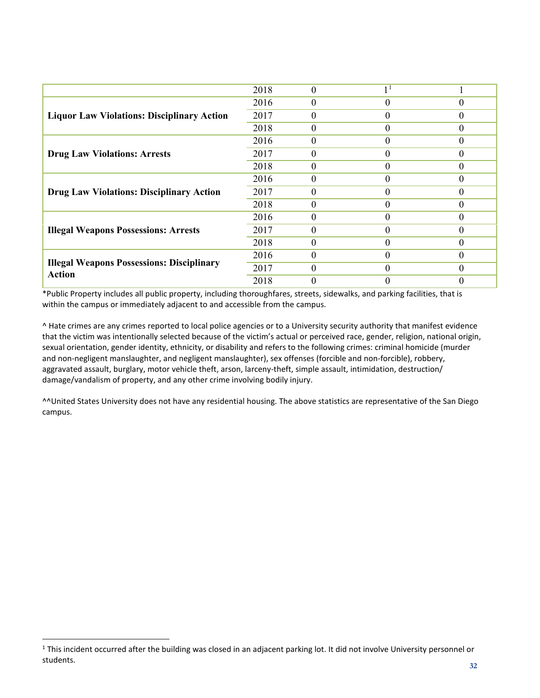|                                                                   | 2018 | $\theta$ | 1 <sup>1</sup> |          |
|-------------------------------------------------------------------|------|----------|----------------|----------|
|                                                                   | 2016 | $\theta$ | $\theta$       | 0        |
| <b>Liquor Law Violations: Disciplinary Action</b>                 | 2017 | $\theta$ | $\Omega$       | $\Omega$ |
|                                                                   | 2018 | $\theta$ | $\theta$       | 0        |
|                                                                   | 2016 | $\theta$ | 0              | $\Omega$ |
| <b>Drug Law Violations: Arrests</b>                               | 2017 | $\theta$ | $\Omega$       | $\Omega$ |
|                                                                   | 2018 | $\Omega$ | 0              | 0        |
|                                                                   | 2016 | $\theta$ | $\theta$       |          |
| <b>Drug Law Violations: Disciplinary Action</b>                   | 2017 | $\theta$ | $\Omega$       | $\Omega$ |
|                                                                   | 2018 | $\theta$ | 0              | 0        |
|                                                                   | 2016 | $\Omega$ | 0              |          |
| <b>Illegal Weapons Possessions: Arrests</b>                       | 2017 | $\theta$ | $\theta$       | $\theta$ |
|                                                                   | 2018 | 0        | 0              | $\Omega$ |
|                                                                   | 2016 | 0        | 0              |          |
| <b>Illegal Weapons Possessions: Disciplinary</b><br><b>Action</b> | 2017 | $\theta$ | 0              | 0        |
|                                                                   | 2018 | 0        | 0              |          |

\*Public Property includes all public property, including thoroughfares, streets, sidewalks, and parking facilities, that is within the campus or immediately adjacent to and accessible from the campus.

^ Hate crimes are any crimes reported to local police agencies or to a University security authority that manifest evidence that the victim was intentionally selected because of the victim's actual or perceived race, gender, religion, national origin, sexual orientation, gender identity, ethnicity, or disability and refers to the following crimes: criminal homicide (murder and non-negligent manslaughter, and negligent manslaughter), sex offenses (forcible and non-forcible), robbery, aggravated assault, burglary, motor vehicle theft, arson, larceny-theft, simple assault, intimidation, destruction/ damage/vandalism of property, and any other crime involving bodily injury.

^^United States University does not have any residential housing. The above statistics are representative of the San Diego campus.

<span id="page-31-0"></span><sup>&</sup>lt;sup>1</sup> This incident occurred after the building was closed in an adjacent parking lot. It did not involve University personnel or students.